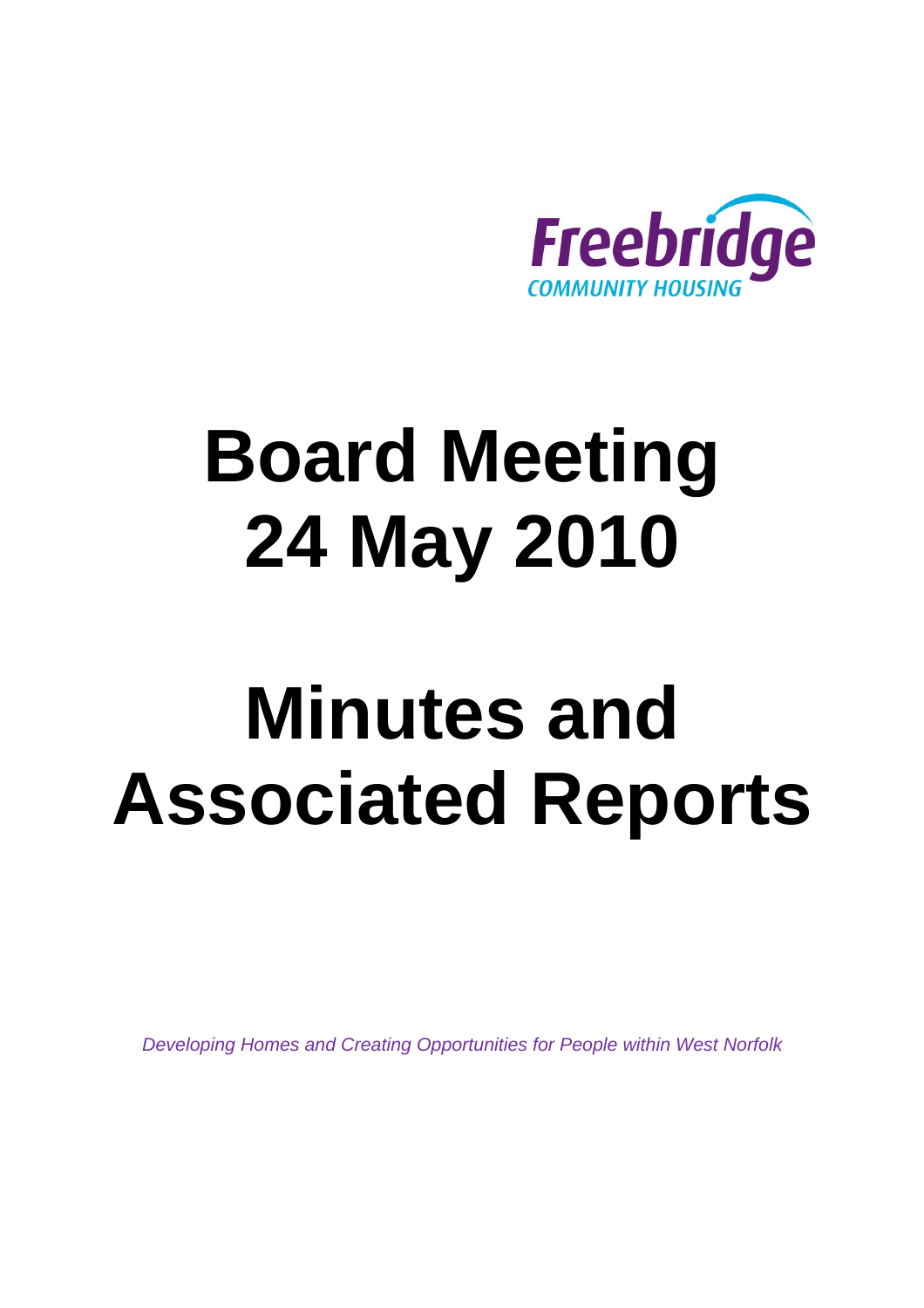

# **Board Meeting 24 May 2010**

# **Minutes and Associated Reports**

*Developing Homes and Creating Opportunities for People within West Norfolk*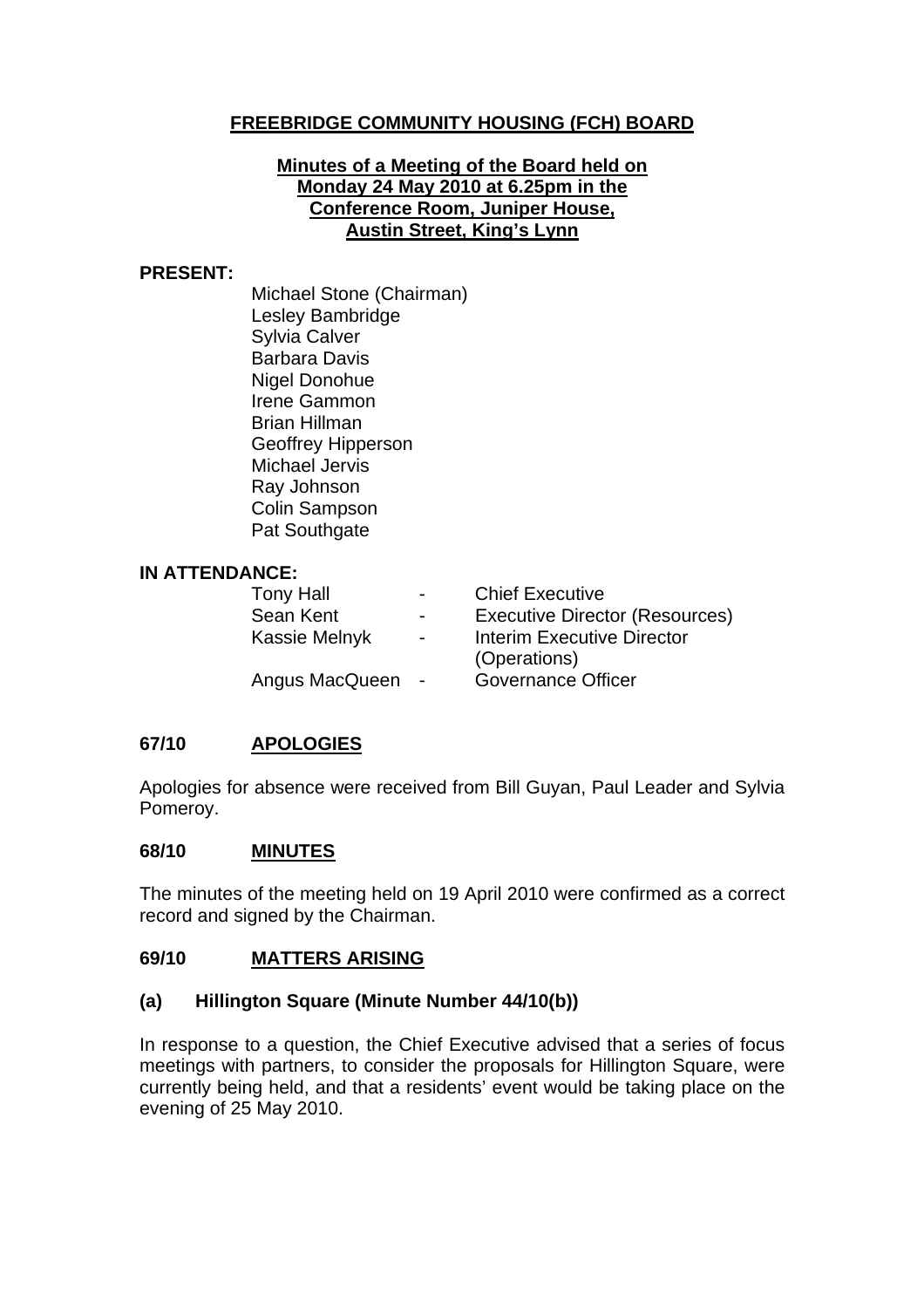#### **FREEBRIDGE COMMUNITY HOUSING (FCH) BOARD**

#### **Minutes of a Meeting of the Board held on Monday 24 May 2010 at 6.25pm in the Conference Room, Juniper House, Austin Street, King's Lynn**

#### **PRESENT:**

Michael Stone (Chairman) Lesley Bambridge Sylvia Calver Barbara Davis Nigel Donohue Irene Gammon Brian Hillman Geoffrey Hipperson Michael Jervis Ray Johnson Colin Sampson Pat Southgate

#### **IN ATTENDANCE:**

Tony Hall **-** Chief Executive Sean Kent Fall - Executive Director (Resources)<br>Kassie Melnyk - Fall Interim Executive Director Kassie Melnyk - Interim Executive Director (Operations) Angus MacQueen - Governance Officer

#### **67/10 APOLOGIES**

Apologies for absence were received from Bill Guyan, Paul Leader and Sylvia Pomeroy.

#### **68/10 MINUTES**

The minutes of the meeting held on 19 April 2010 were confirmed as a correct record and signed by the Chairman.

#### **69/10 MATTERS ARISING**

#### **(a) Hillington Square (Minute Number 44/10(b))**

In response to a question, the Chief Executive advised that a series of focus meetings with partners, to consider the proposals for Hillington Square, were currently being held, and that a residents' event would be taking place on the evening of 25 May 2010.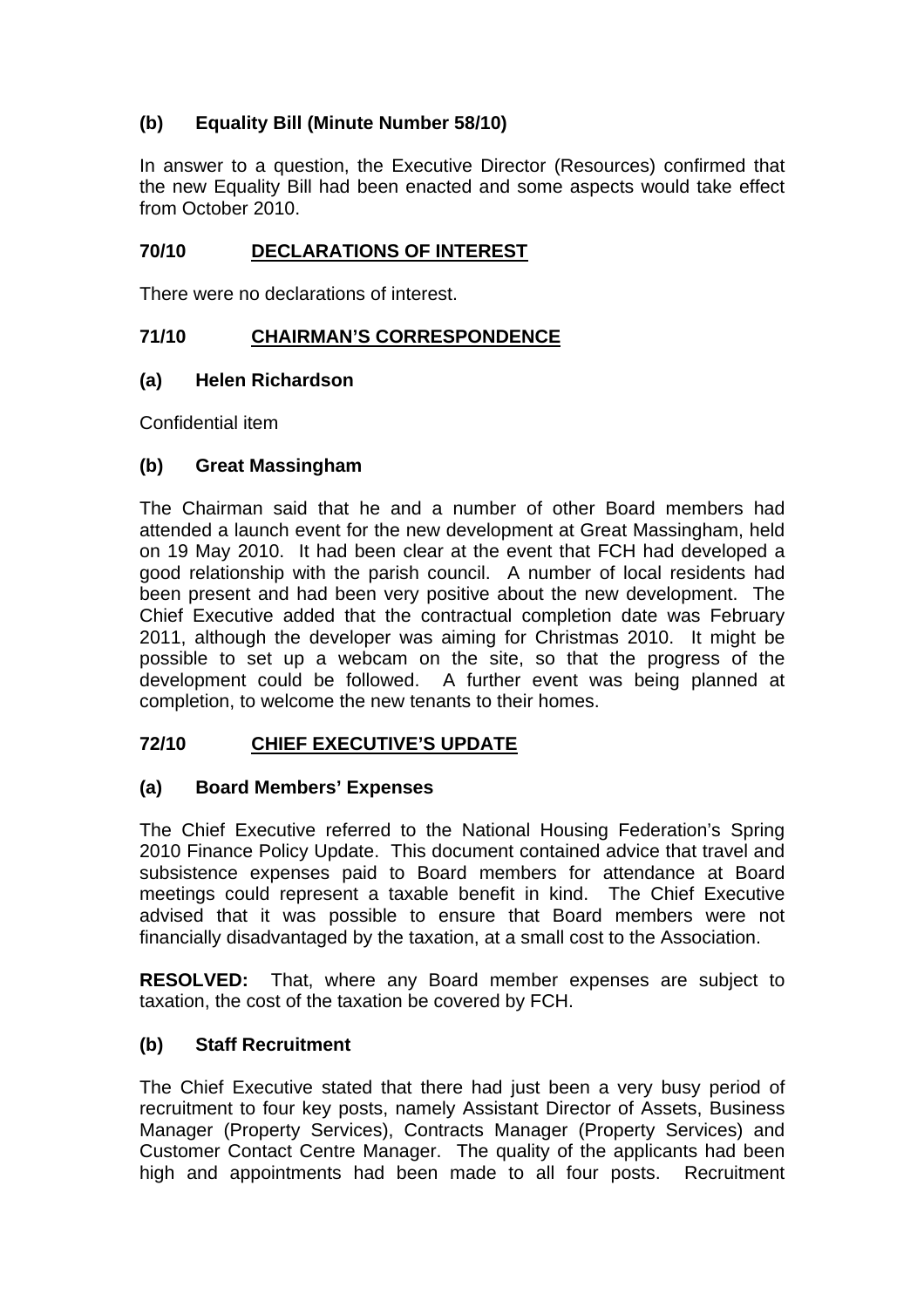#### **(b) Equality Bill (Minute Number 58/10)**

In answer to a question, the Executive Director (Resources) confirmed that the new Equality Bill had been enacted and some aspects would take effect from October 2010.

#### **70/10 DECLARATIONS OF INTEREST**

There were no declarations of interest.

#### **71/10 CHAIRMAN'S CORRESPONDENCE**

#### **(a) Helen Richardson**

Confidential item

#### **(b) Great Massingham**

The Chairman said that he and a number of other Board members had attended a launch event for the new development at Great Massingham, held on 19 May 2010. It had been clear at the event that FCH had developed a good relationship with the parish council. A number of local residents had been present and had been very positive about the new development. The Chief Executive added that the contractual completion date was February 2011, although the developer was aiming for Christmas 2010. It might be possible to set up a webcam on the site, so that the progress of the development could be followed. A further event was being planned at completion, to welcome the new tenants to their homes.

#### **72/10 CHIEF EXECUTIVE'S UPDATE**

#### **(a) Board Members' Expenses**

The Chief Executive referred to the National Housing Federation's Spring 2010 Finance Policy Update. This document contained advice that travel and subsistence expenses paid to Board members for attendance at Board meetings could represent a taxable benefit in kind. The Chief Executive advised that it was possible to ensure that Board members were not financially disadvantaged by the taxation, at a small cost to the Association.

**RESOLVED:** That, where any Board member expenses are subject to taxation, the cost of the taxation be covered by FCH.

#### **(b) Staff Recruitment**

The Chief Executive stated that there had just been a very busy period of recruitment to four key posts, namely Assistant Director of Assets, Business Manager (Property Services), Contracts Manager (Property Services) and Customer Contact Centre Manager. The quality of the applicants had been high and appointments had been made to all four posts. Recruitment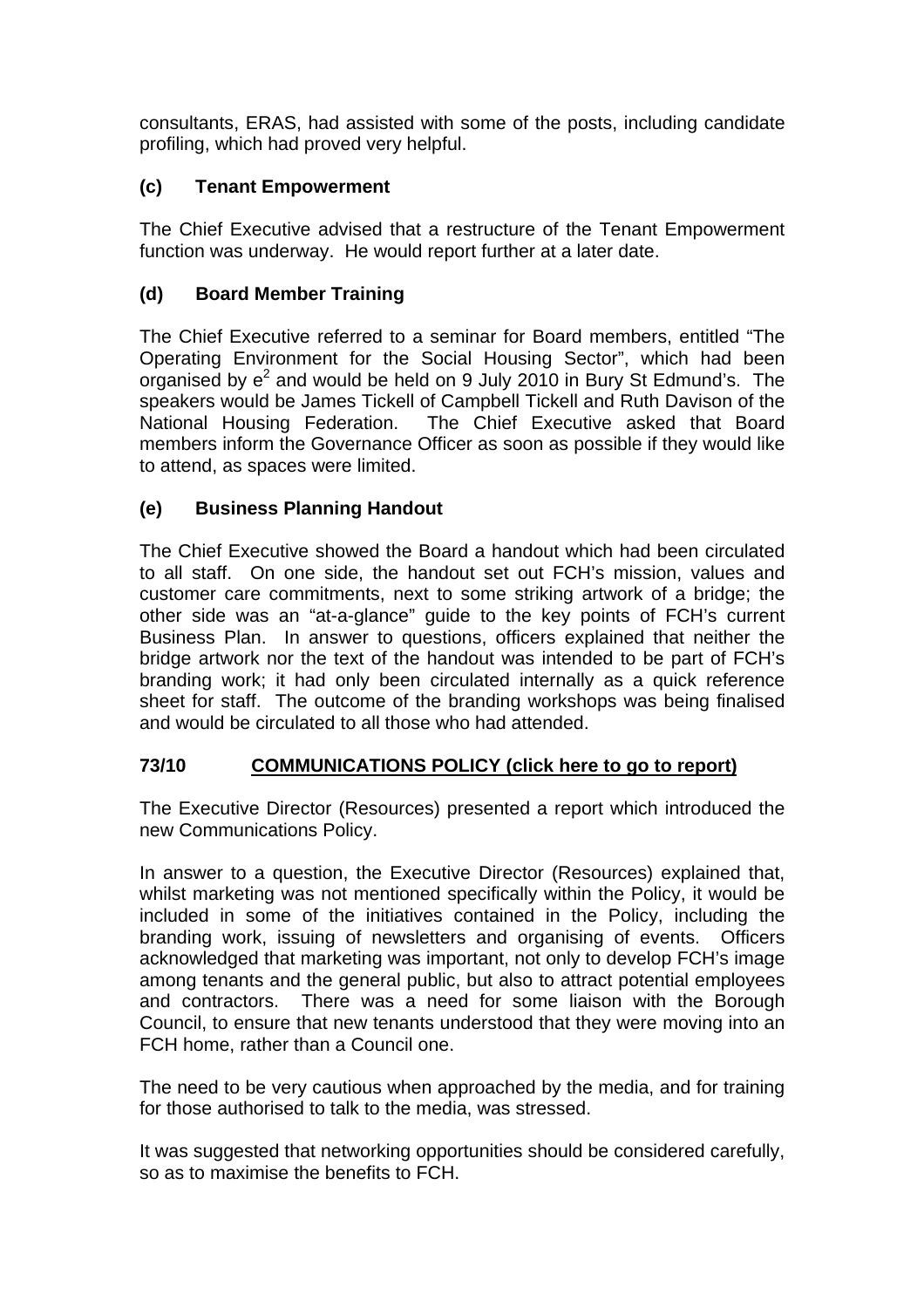consultants, ERAS, had assisted with some of the posts, including candidate profiling, which had proved very helpful.

#### **(c) Tenant Empowerment**

The Chief Executive advised that a restructure of the Tenant Empowerment function was underway. He would report further at a later date.

#### **(d) Board Member Training**

The Chief Executive referred to a seminar for Board members, entitled "The Operating Environment for the Social Housing Sector", which had been organised by  $e^2$  and would be held on 9 July 2010 in Bury St Edmund's. The speakers would be James Tickell of Campbell Tickell and Ruth Davison of the National Housing Federation. The Chief Executive asked that Board members inform the Governance Officer as soon as possible if they would like to attend, as spaces were limited.

#### **(e) Business Planning Handout**

The Chief Executive showed the Board a handout which had been circulated to all staff. On one side, the handout set out FCH's mission, values and customer care commitments, next to some striking artwork of a bridge; the other side was an "at-a-glance" guide to the key points of FCH's current Business Plan. In answer to questions, officers explained that neither the bridge artwork nor the text of the handout was intended to be part of FCH's branding work; it had only been circulated internally as a quick reference sheet for staff. The outcome of the branding workshops was being finalised and would be circulated to all those who had attended.

#### **73/10 COMMUNICATIONS POLICY [\(click here to go to report\)](#page-10-0)**

The Executive Director (Resources) presented a report which introduced the new Communications Policy.

In answer to a question, the Executive Director (Resources) explained that, whilst marketing was not mentioned specifically within the Policy, it would be included in some of the initiatives contained in the Policy, including the branding work, issuing of newsletters and organising of events. Officers acknowledged that marketing was important, not only to develop FCH's image among tenants and the general public, but also to attract potential employees and contractors. There was a need for some liaison with the Borough Council, to ensure that new tenants understood that they were moving into an FCH home, rather than a Council one.

The need to be very cautious when approached by the media, and for training for those authorised to talk to the media, was stressed.

It was suggested that networking opportunities should be considered carefully, so as to maximise the benefits to FCH.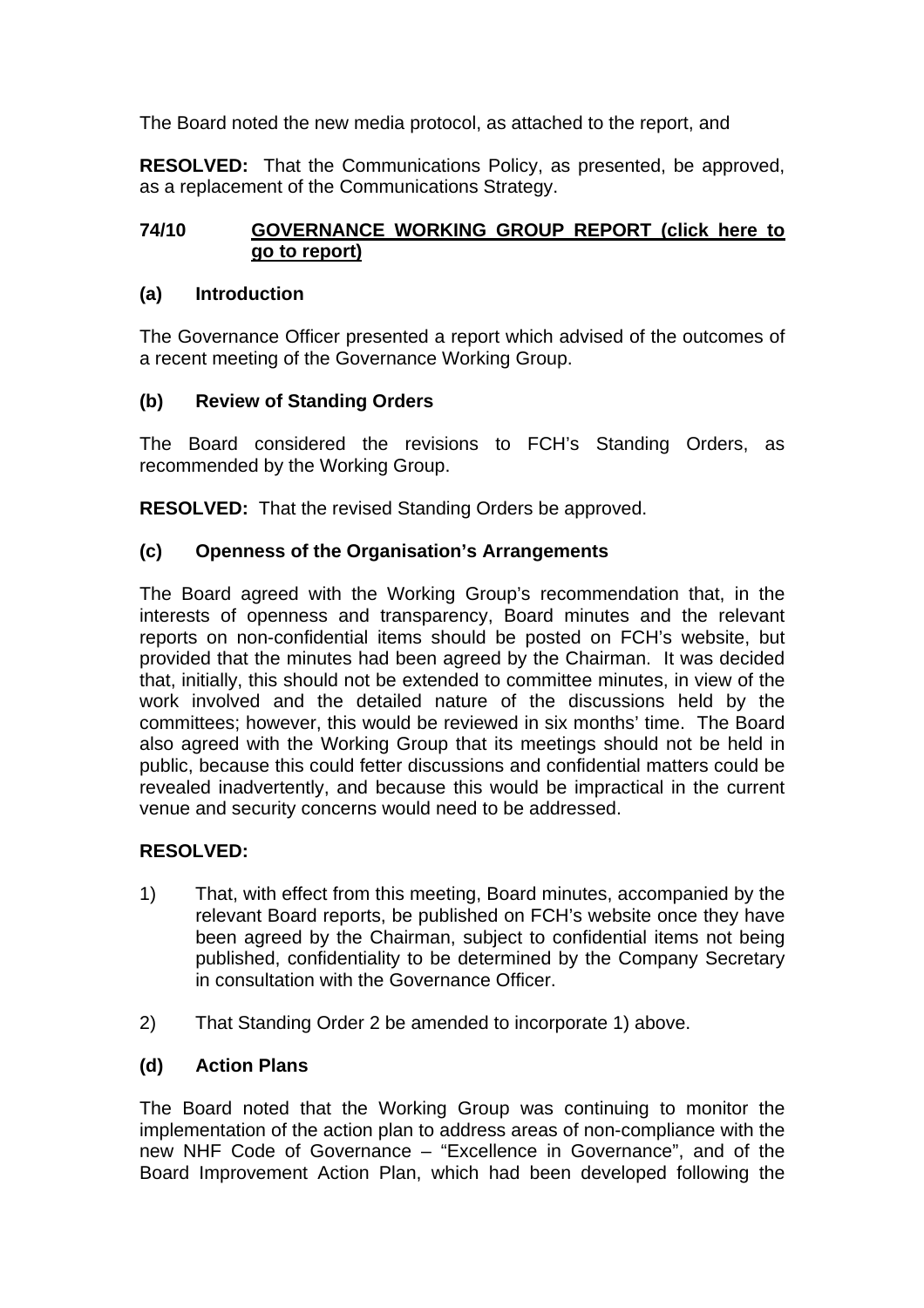The Board noted the new media protocol, as attached to the report, and

**RESOLVED:** That the Communications Policy, as presented, be approved, as a replacement of the Communications Strategy.

#### **74/10 GOVERNANCE WORKING GROUP REPORT [\(click here to](#page-19-0) go to report)**

#### **(a) Introduction**

The Governance Officer presented a report which advised of the outcomes of a recent meeting of the Governance Working Group.

#### **(b) Review of Standing Orders**

The Board considered the revisions to FCH's Standing Orders, as recommended by the Working Group.

**RESOLVED:** That the revised Standing Orders be approved.

#### **(c) Openness of the Organisation's Arrangements**

The Board agreed with the Working Group's recommendation that, in the interests of openness and transparency, Board minutes and the relevant reports on non-confidential items should be posted on FCH's website, but provided that the minutes had been agreed by the Chairman. It was decided that, initially, this should not be extended to committee minutes, in view of the work involved and the detailed nature of the discussions held by the committees; however, this would be reviewed in six months' time. The Board also agreed with the Working Group that its meetings should not be held in public, because this could fetter discussions and confidential matters could be revealed inadvertently, and because this would be impractical in the current venue and security concerns would need to be addressed.

#### **RESOLVED:**

- 1) That, with effect from this meeting, Board minutes, accompanied by the relevant Board reports, be published on FCH's website once they have been agreed by the Chairman, subject to confidential items not being published, confidentiality to be determined by the Company Secretary in consultation with the Governance Officer.
- 2) That Standing Order 2 be amended to incorporate 1) above.

#### **(d) Action Plans**

The Board noted that the Working Group was continuing to monitor the implementation of the action plan to address areas of non-compliance with the new NHF Code of Governance – "Excellence in Governance", and of the Board Improvement Action Plan, which had been developed following the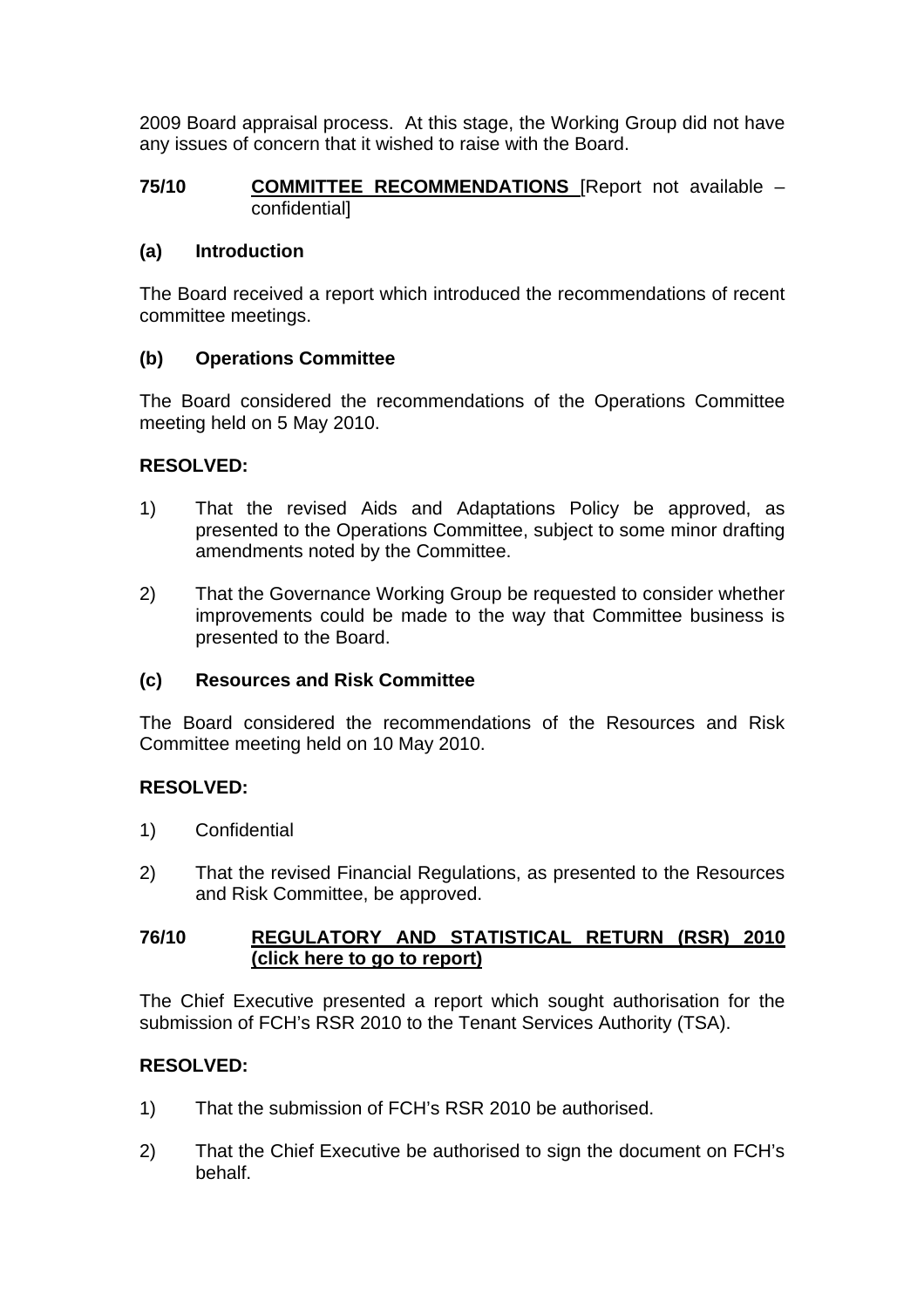2009 Board appraisal process. At this stage, the Working Group did not have any issues of concern that it wished to raise with the Board.

#### **75/10 COMMITTEE RECOMMENDATIONS** [Report not available – confidential]

#### **(a) Introduction**

The Board received a report which introduced the recommendations of recent committee meetings.

#### **(b) Operations Committee**

The Board considered the recommendations of the Operations Committee meeting held on 5 May 2010.

#### **RESOLVED:**

- 1) That the revised Aids and Adaptations Policy be approved, as presented to the Operations Committee, subject to some minor drafting amendments noted by the Committee.
- 2) That the Governance Working Group be requested to consider whether improvements could be made to the way that Committee business is presented to the Board.

#### **(c) Resources and Risk Committee**

The Board considered the recommendations of the Resources and Risk Committee meeting held on 10 May 2010.

#### **RESOLVED:**

- 1) Confidential
- 2) That the revised Financial Regulations, as presented to the Resources and Risk Committee, be approved.

#### **76/10 REGULATORY AND STATISTICAL RETURN (RSR) 2010 [\(click here to go to report\)](#page-23-0)**

The Chief Executive presented a report which sought authorisation for the submission of FCH's RSR 2010 to the Tenant Services Authority (TSA).

#### **RESOLVED:**

- 1) That the submission of FCH's RSR 2010 be authorised.
- 2) That the Chief Executive be authorised to sign the document on FCH's behalf.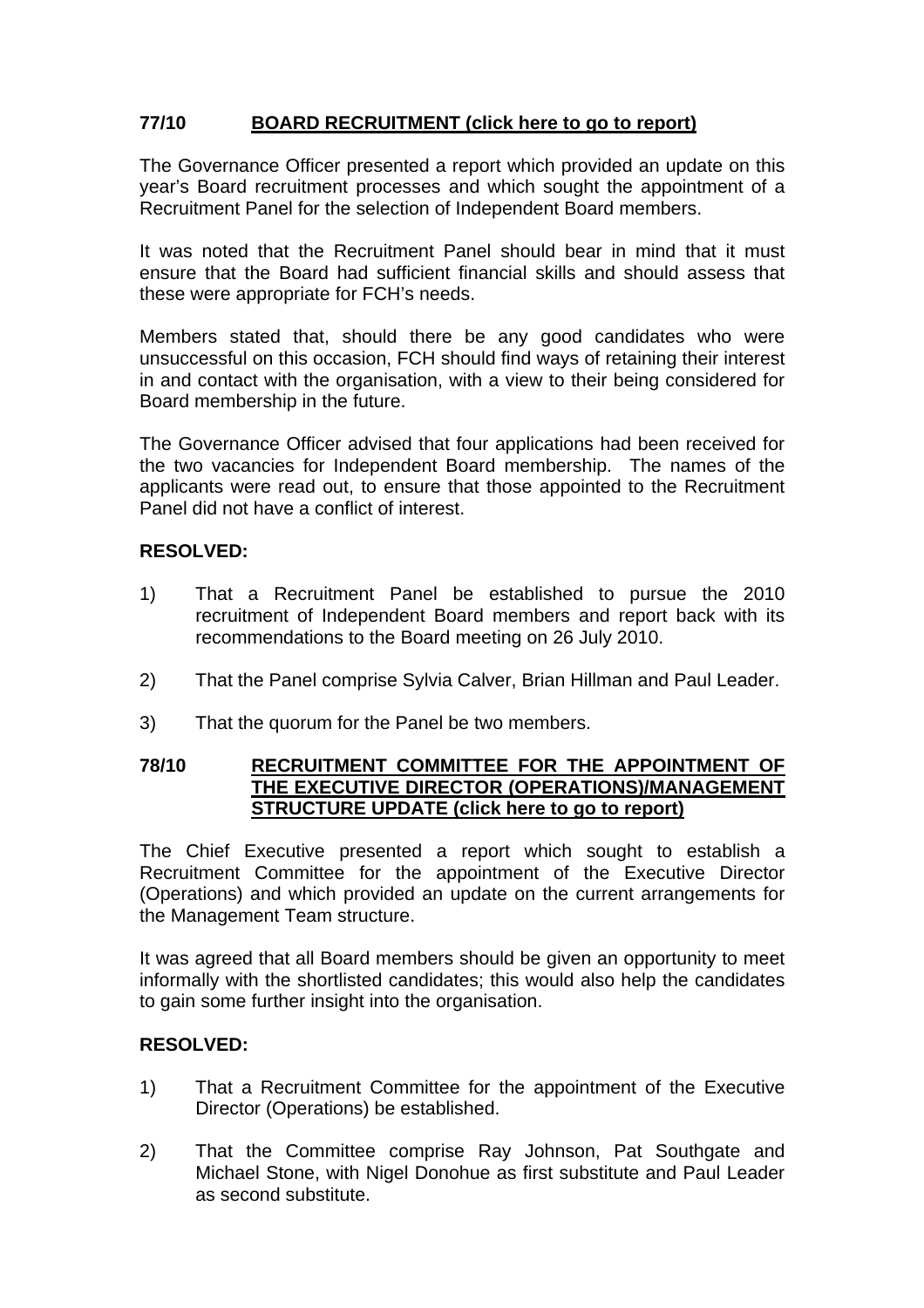#### **77/10 BOARD RECRUITMENT [\(click here to go to report\)](#page-24-0)**

The Governance Officer presented a report which provided an update on this year's Board recruitment processes and which sought the appointment of a Recruitment Panel for the selection of Independent Board members.

It was noted that the Recruitment Panel should bear in mind that it must ensure that the Board had sufficient financial skills and should assess that these were appropriate for FCH's needs.

Members stated that, should there be any good candidates who were unsuccessful on this occasion, FCH should find ways of retaining their interest in and contact with the organisation, with a view to their being considered for Board membership in the future.

The Governance Officer advised that four applications had been received for the two vacancies for Independent Board membership. The names of the applicants were read out, to ensure that those appointed to the Recruitment Panel did not have a conflict of interest.

#### **RESOLVED:**

- 1) That a Recruitment Panel be established to pursue the 2010 recruitment of Independent Board members and report back with its recommendations to the Board meeting on 26 July 2010.
- 2) That the Panel comprise Sylvia Calver, Brian Hillman and Paul Leader.
- 3) That the quorum for the Panel be two members.

#### **78/10 RECRUITMENT COMMITTEE FOR THE APPOINTMENT OF THE EXECUTIVE DIRECTOR (OPERATIONS)/MANAGEMENT STRUCTURE UPDATE [\(click here to go to report\)](#page-26-0)**

The Chief Executive presented a report which sought to establish a Recruitment Committee for the appointment of the Executive Director (Operations) and which provided an update on the current arrangements for the Management Team structure.

It was agreed that all Board members should be given an opportunity to meet informally with the shortlisted candidates; this would also help the candidates to gain some further insight into the organisation.

#### **RESOLVED:**

- 1) That a Recruitment Committee for the appointment of the Executive Director (Operations) be established.
- 2) That the Committee comprise Ray Johnson, Pat Southgate and Michael Stone, with Nigel Donohue as first substitute and Paul Leader as second substitute.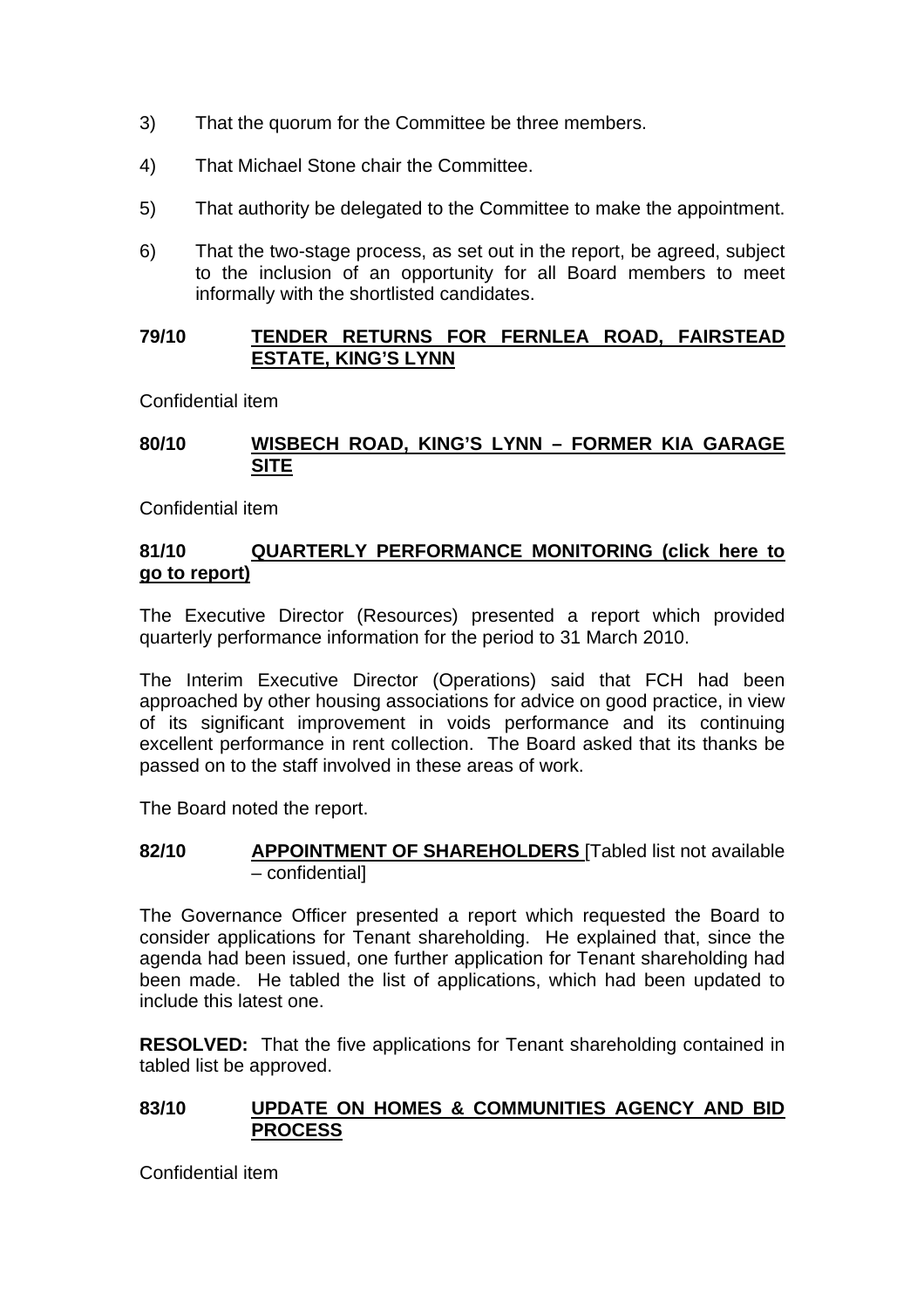- 3) That the quorum for the Committee be three members.
- 4) That Michael Stone chair the Committee.
- 5) That authority be delegated to the Committee to make the appointment.
- 6) That the two-stage process, as set out in the report, be agreed, subject to the inclusion of an opportunity for all Board members to meet informally with the shortlisted candidates.

#### **79/10 TENDER RETURNS FOR FERNLEA ROAD, FAIRSTEAD ESTATE, KING'S LYNN**

Confidential item

#### **80/10 WISBECH ROAD, KING'S LYNN – FORMER KIA GARAGE SITE**

Confidential item

#### **81/10 QUARTERLY PERFORMANCE MONITORING [\(click here to](#page-28-0)  go to report)**

The Executive Director (Resources) presented a report which provided quarterly performance information for the period to 31 March 2010.

The Interim Executive Director (Operations) said that FCH had been approached by other housing associations for advice on good practice, in view of its significant improvement in voids performance and its continuing excellent performance in rent collection. The Board asked that its thanks be passed on to the staff involved in these areas of work.

The Board noted the report.

**82/10 APPOINTMENT OF SHAREHOLDERS** [Tabled list not available – confidential]

The Governance Officer presented a report which requested the Board to consider applications for Tenant shareholding. He explained that, since the agenda had been issued, one further application for Tenant shareholding had been made. He tabled the list of applications, which had been updated to include this latest one.

**RESOLVED:** That the five applications for Tenant shareholding contained in tabled list be approved.

#### **83/10 UPDATE ON HOMES & COMMUNITIES AGENCY AND BID PROCESS**

Confidential item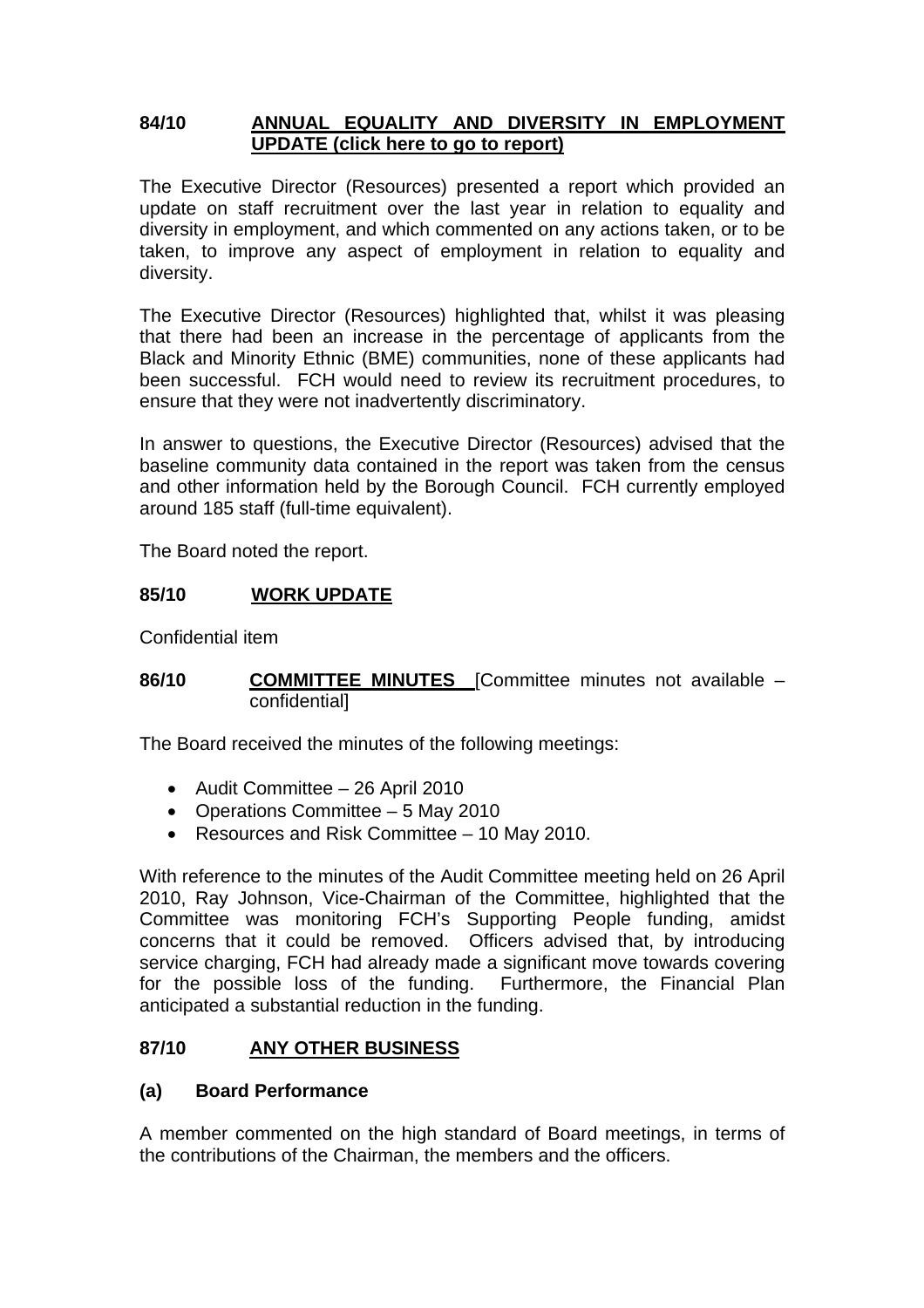#### **84/10 ANNUAL EQUALITY AND DIVERSITY IN EMPLOYMENT UPDATE [\(click here to go to report\)](#page-35-0)**

The Executive Director (Resources) presented a report which provided an update on staff recruitment over the last year in relation to equality and diversity in employment, and which commented on any actions taken, or to be taken, to improve any aspect of employment in relation to equality and diversity.

The Executive Director (Resources) highlighted that, whilst it was pleasing that there had been an increase in the percentage of applicants from the Black and Minority Ethnic (BME) communities, none of these applicants had been successful. FCH would need to review its recruitment procedures, to ensure that they were not inadvertently discriminatory.

In answer to questions, the Executive Director (Resources) advised that the baseline community data contained in the report was taken from the census and other information held by the Borough Council. FCH currently employed around 185 staff (full-time equivalent).

The Board noted the report.

#### **85/10 WORK UPDATE**

Confidential item

#### **86/10 COMMITTEE MINUTES** [Committee minutes not available – confidential]

The Board received the minutes of the following meetings:

- Audit Committee 26 April 2010
- Operations Committee 5 May 2010
- Resources and Risk Committee 10 May 2010.

With reference to the minutes of the Audit Committee meeting held on 26 April 2010, Ray Johnson, Vice-Chairman of the Committee, highlighted that the Committee was monitoring FCH's Supporting People funding, amidst concerns that it could be removed. Officers advised that, by introducing service charging, FCH had already made a significant move towards covering for the possible loss of the funding. Furthermore, the Financial Plan anticipated a substantial reduction in the funding.

#### **87/10 ANY OTHER BUSINESS**

#### **(a) Board Performance**

A member commented on the high standard of Board meetings, in terms of the contributions of the Chairman, the members and the officers.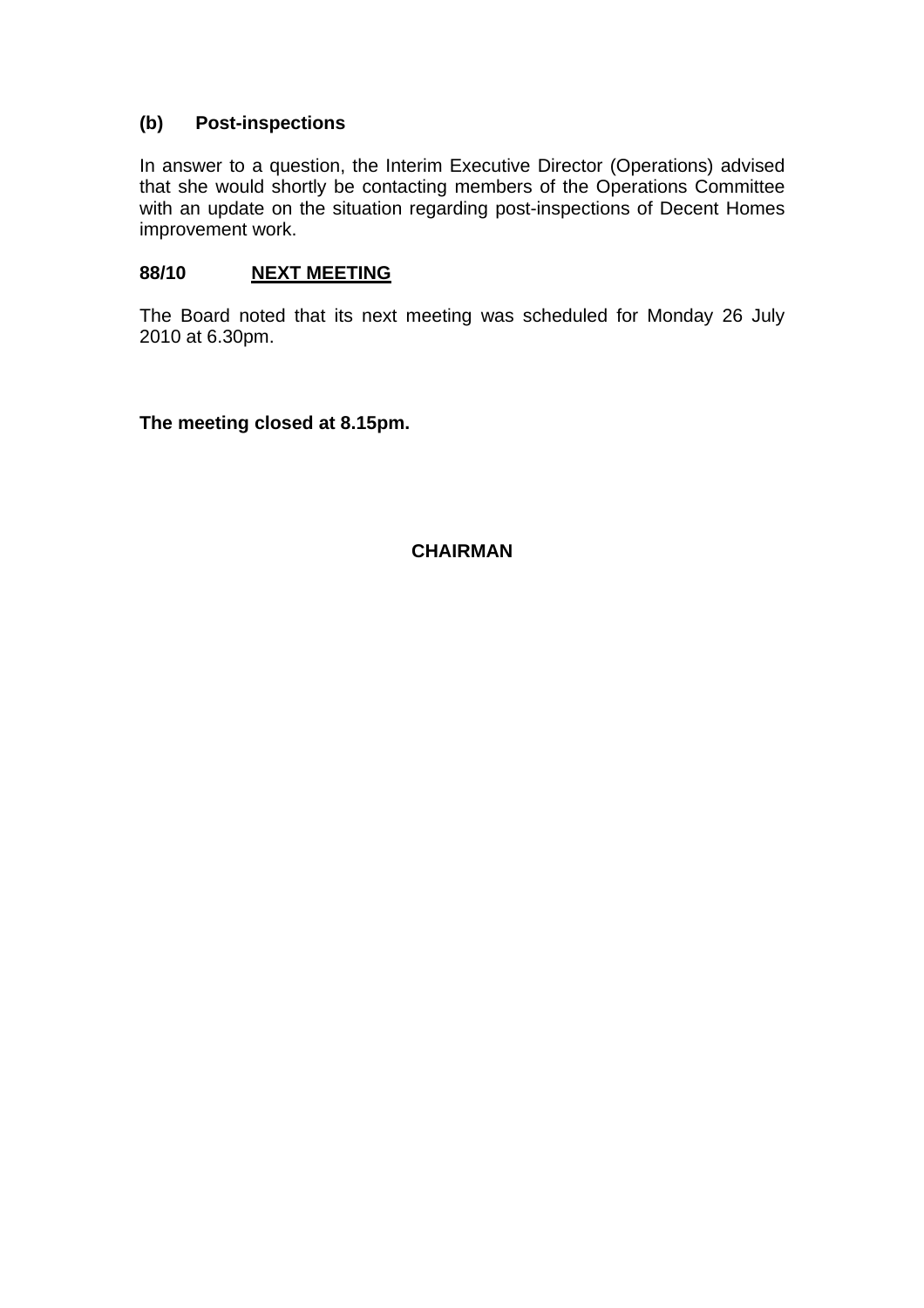#### **(b) Post-inspections**

In answer to a question, the Interim Executive Director (Operations) advised that she would shortly be contacting members of the Operations Committee with an update on the situation regarding post-inspections of Decent Homes improvement work.

#### **88/10 NEXT MEETING**

The Board noted that its next meeting was scheduled for Monday 26 July 2010 at 6.30pm.

**The meeting closed at 8.15pm.** 

**CHAIRMAN**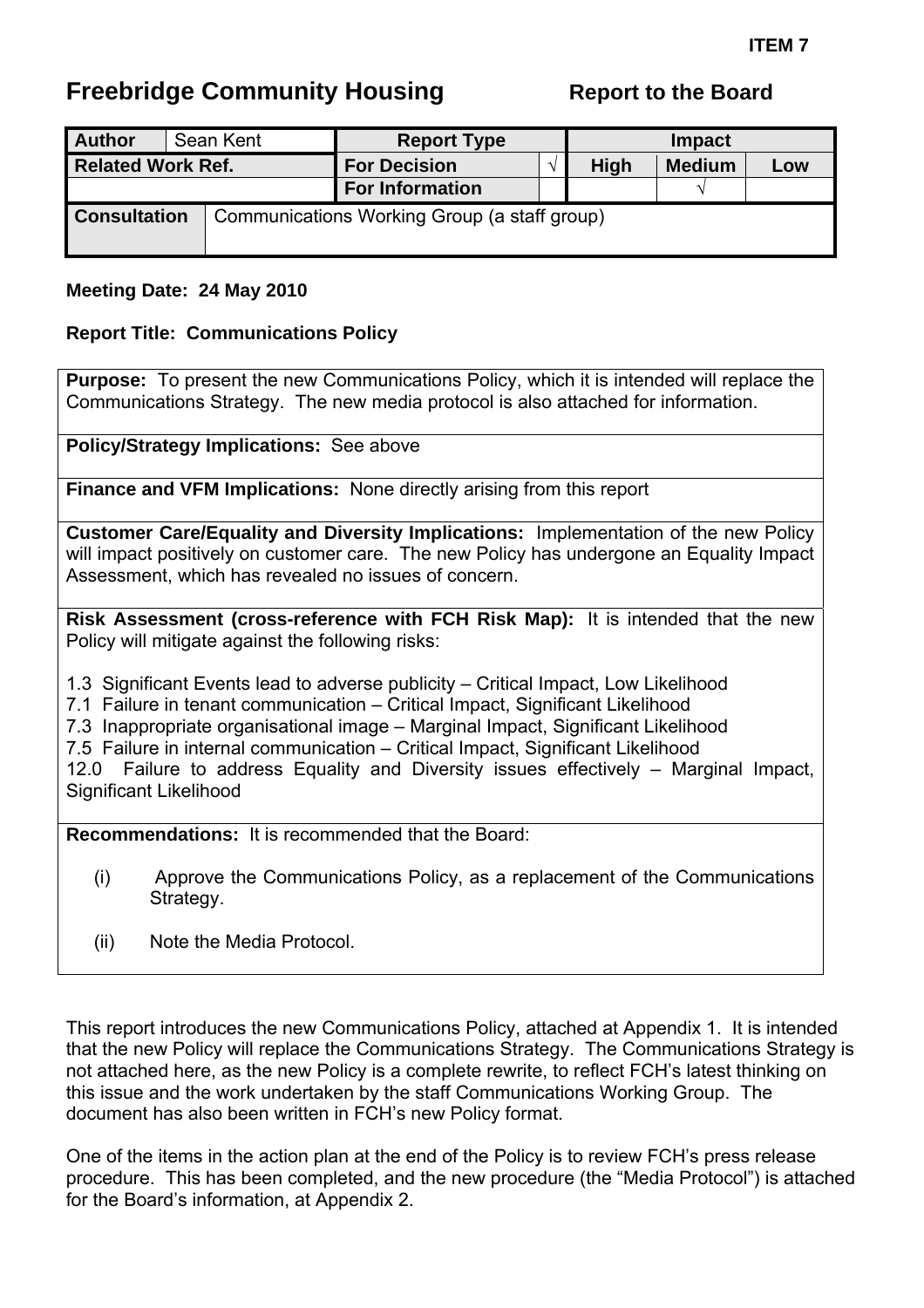# <span id="page-10-0"></span>**Freebridge Community Housing**

| <b>Author</b>            |  | Sean Kent | <b>Report Type</b><br><b>Impact</b>          |  |               |               |     |
|--------------------------|--|-----------|----------------------------------------------|--|---------------|---------------|-----|
| <b>Related Work Ref.</b> |  |           | <b>For Decision</b>                          |  | High          | <b>Medium</b> | Low |
|                          |  |           | <b>For Information</b>                       |  | $\mathcal{N}$ |               |     |
| <b>Consultation</b>      |  |           | Communications Working Group (a staff group) |  |               |               |     |

#### **Meeting Date: 24 May 2010**

#### **Report Title: Communications Policy**

**Purpose:** To present the new Communications Policy, which it is intended will replace the Communications Strategy. The new media protocol is also attached for information.

**Policy/Strategy Implications:** See above

**Finance and VFM Implications:** None directly arising from this report

**Customer Care/Equality and Diversity Implications:** Implementation of the new Policy will impact positively on customer care. The new Policy has undergone an Equality Impact Assessment, which has revealed no issues of concern.

**Risk Assessment (cross-reference with FCH Risk Map):** It is intended that the new Policy will mitigate against the following risks:

1.3 Significant Events lead to adverse publicity – Critical Impact, Low Likelihood

- 7.1 Failure in tenant communication Critical Impact, Significant Likelihood
- 7.3 Inappropriate organisational image Marginal Impact, Significant Likelihood
- 7.5 Failure in internal communication Critical Impact, Significant Likelihood

12.0 Failure to address Equality and Diversity issues effectively – Marginal Impact, Significant Likelihood

**Recommendations:** It is recommended that the Board:

- (i) Approve the Communications Policy, as a replacement of the Communications Strategy.
- (ii) Note the Media Protocol.

This report introduces the new Communications Policy, attached at Appendix 1. It is intended that the new Policy will replace the Communications Strategy. The Communications Strategy is not attached here, as the new Policy is a complete rewrite, to reflect FCH's latest thinking on this issue and the work undertaken by the staff Communications Working Group. The document has also been written in FCH's new Policy format.

One of the items in the action plan at the end of the Policy is to review FCH's press release procedure. This has been completed, and the new procedure (the "Media Protocol") is attached for the Board's information, at Appendix 2.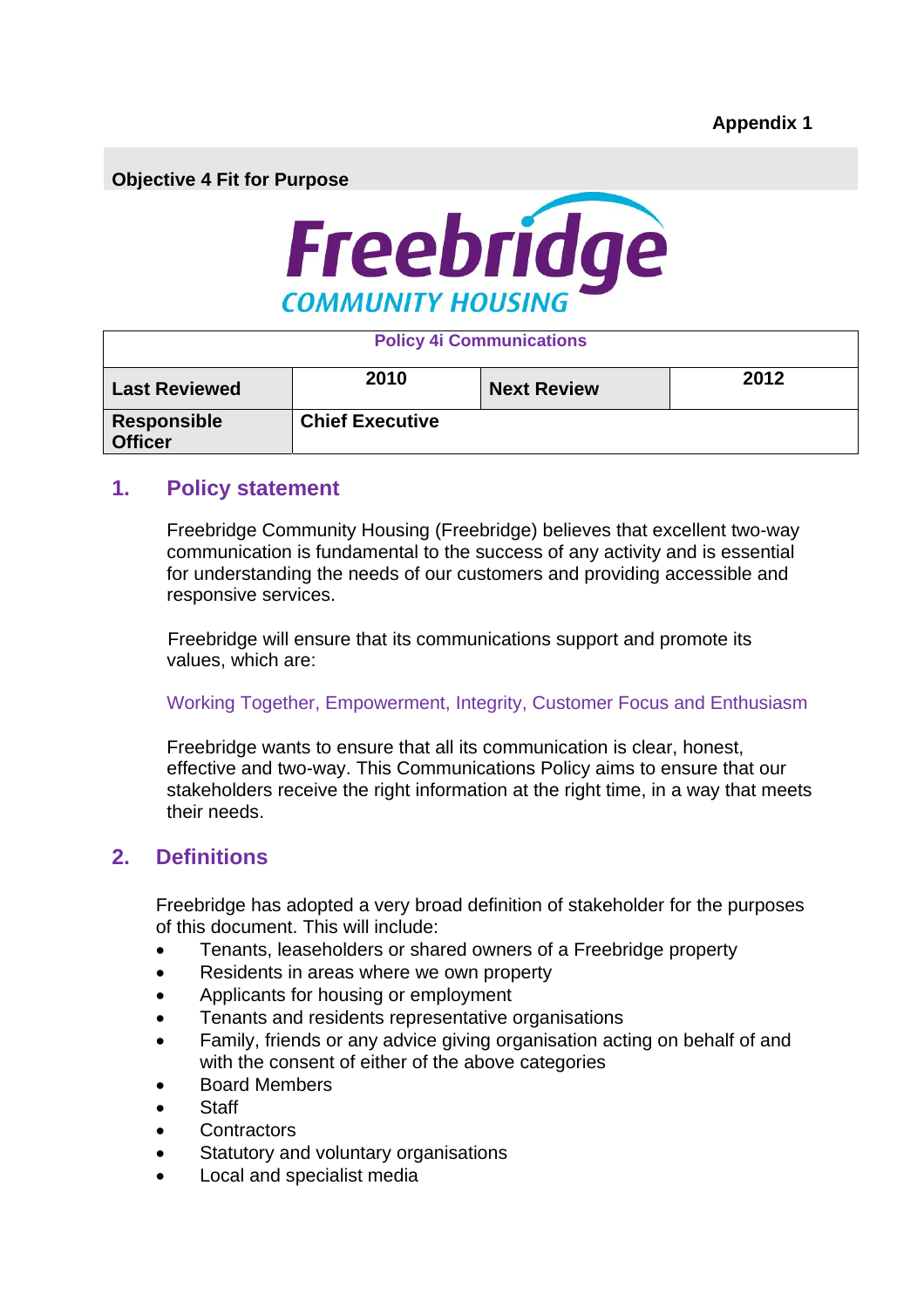**Objective 4 Fit for Purpose** 



| <b>Policy 4i Communications</b> |                        |                    |      |  |  |  |  |
|---------------------------------|------------------------|--------------------|------|--|--|--|--|
| <b>Last Reviewed</b>            | 2010                   | <b>Next Review</b> | 2012 |  |  |  |  |
| Responsible<br><b>Officer</b>   | <b>Chief Executive</b> |                    |      |  |  |  |  |

#### **1. Policy statement**

Freebridge Community Housing (Freebridge) believes that excellent two-way communication is fundamental to the success of any activity and is essential for understanding the needs of our customers and providing accessible and responsive services.

Freebridge will ensure that its communications support and promote its values, which are:

#### Working Together, Empowerment, Integrity, Customer Focus and Enthusiasm

Freebridge wants to ensure that all its communication is clear, honest, effective and two-way. This Communications Policy aims to ensure that our stakeholders receive the right information at the right time, in a way that meets their needs.

### **2. Definitions**

Freebridge has adopted a very broad definition of stakeholder for the purposes of this document. This will include:

- Tenants, leaseholders or shared owners of a Freebridge property
- Residents in areas where we own property
- Applicants for housing or employment
- Tenants and residents representative organisations
- Family, friends or any advice giving organisation acting on behalf of and with the consent of either of the above categories
- Board Members
- **Staff**
- **Contractors**
- Statutory and voluntary organisations
- Local and specialist media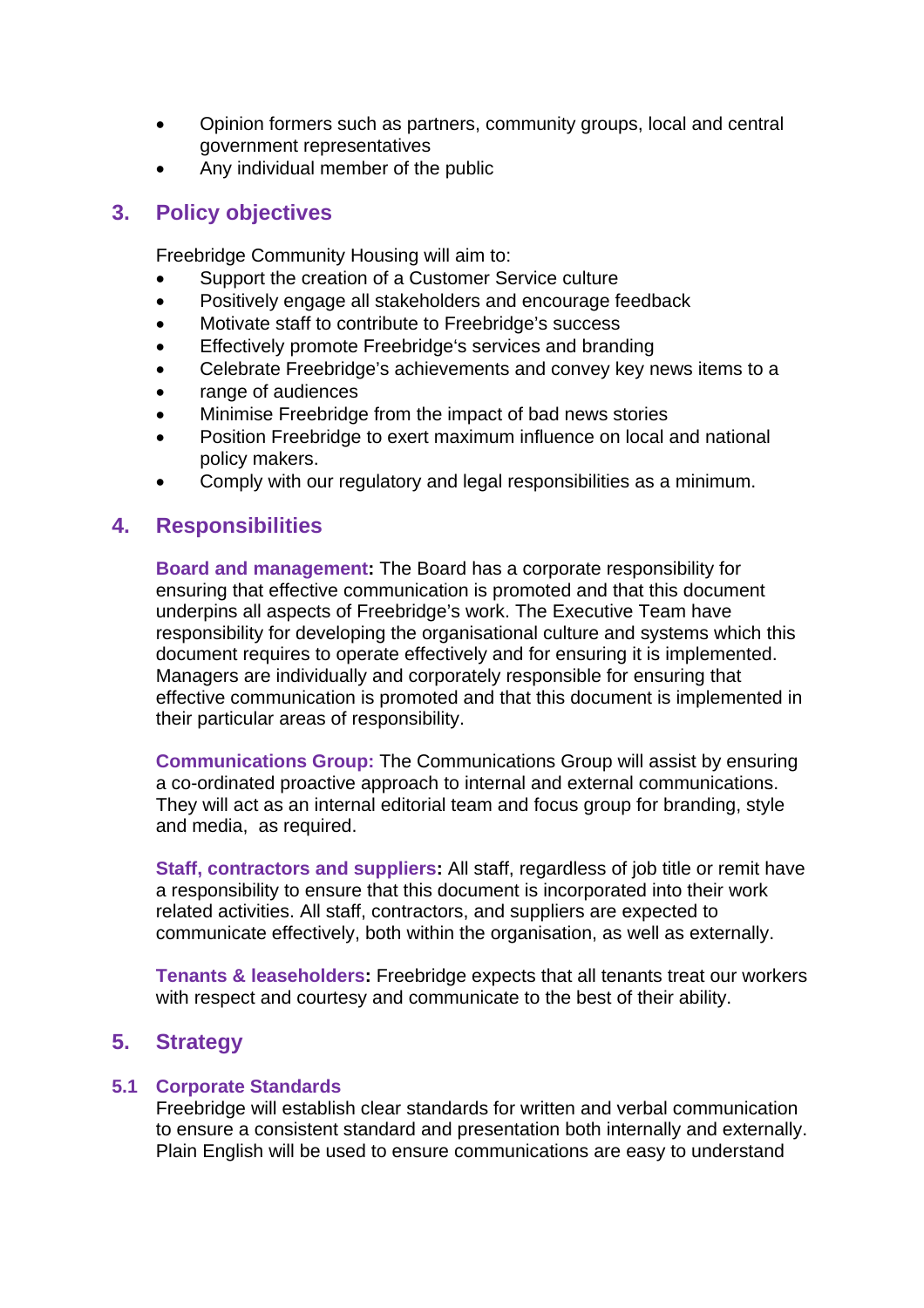- Opinion formers such as partners, community groups, local and central government representatives
- Any individual member of the public

### **3. Policy objectives**

Freebridge Community Housing will aim to:

- Support the creation of a Customer Service culture
- Positively engage all stakeholders and encourage feedback
- Motivate staff to contribute to Freebridge's success
- Effectively promote Freebridge's services and branding
- Celebrate Freebridge's achievements and convey key news items to a
- range of audiences
- Minimise Freebridge from the impact of bad news stories
- Position Freebridge to exert maximum influence on local and national policy makers.
- Comply with our regulatory and legal responsibilities as a minimum.

## **4. Responsibilities**

**Board and management:** The Board has a corporate responsibility for ensuring that effective communication is promoted and that this document underpins all aspects of Freebridge's work. The Executive Team have responsibility for developing the organisational culture and systems which this document requires to operate effectively and for ensuring it is implemented. Managers are individually and corporately responsible for ensuring that effective communication is promoted and that this document is implemented in their particular areas of responsibility.

**Communications Group:** The Communications Group will assist by ensuring a co-ordinated proactive approach to internal and external communications. They will act as an internal editorial team and focus group for branding, style and media, as required.

**Staff, contractors and suppliers:** All staff, regardless of job title or remit have a responsibility to ensure that this document is incorporated into their work related activities. All staff, contractors, and suppliers are expected to communicate effectively, both within the organisation, as well as externally.

**Tenants & leaseholders:** Freebridge expects that all tenants treat our workers with respect and courtesy and communicate to the best of their ability.

## **5. Strategy**

#### **5.1 Corporate Standards**

Freebridge will establish clear standards for written and verbal communication to ensure a consistent standard and presentation both internally and externally. Plain English will be used to ensure communications are easy to understand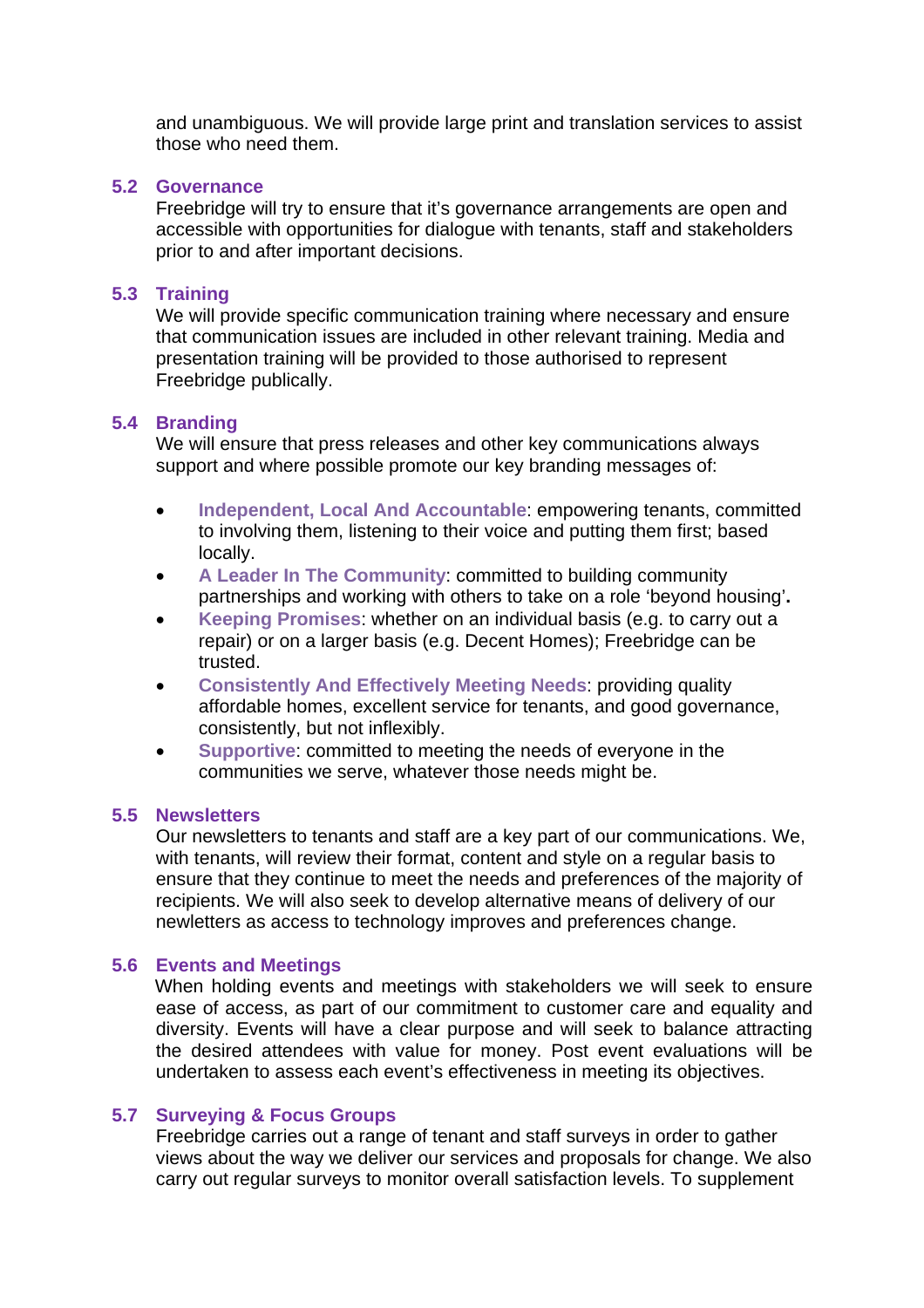and unambiguous. We will provide large print and translation services to assist those who need them.

#### **5.2 Governance**

Freebridge will try to ensure that it's governance arrangements are open and accessible with opportunities for dialogue with tenants, staff and stakeholders prior to and after important decisions.

#### **5.3 Training**

We will provide specific communication training where necessary and ensure that communication issues are included in other relevant training. Media and presentation training will be provided to those authorised to represent Freebridge publically.

#### **5.4 Branding**

We will ensure that press releases and other key communications always support and where possible promote our key branding messages of:

- **Independent, Local And Accountable**: empowering tenants, committed to involving them, listening to their voice and putting them first; based locally.
- **A Leader In The Community**: committed to building community partnerships and working with others to take on a role 'beyond housing'**.**
- **Keeping Promises**: whether on an individual basis (e.g. to carry out a repair) or on a larger basis (e.g. Decent Homes); Freebridge can be trusted.
- **Consistently And Effectively Meeting Needs**: providing quality affordable homes, excellent service for tenants, and good governance, consistently, but not inflexibly.
- **Supportive**: committed to meeting the needs of everyone in the communities we serve, whatever those needs might be.

#### **5.5 Newsletters**

Our newsletters to tenants and staff are a key part of our communications. We, with tenants, will review their format, content and style on a regular basis to ensure that they continue to meet the needs and preferences of the majority of recipients. We will also seek to develop alternative means of delivery of our newletters as access to technology improves and preferences change.

#### **5.6 Events and Meetings**

When holding events and meetings with stakeholders we will seek to ensure ease of access, as part of our commitment to customer care and equality and diversity. Events will have a clear purpose and will seek to balance attracting the desired attendees with value for money. Post event evaluations will be undertaken to assess each event's effectiveness in meeting its objectives.

#### **5.7 Surveying & Focus Groups**

Freebridge carries out a range of tenant and staff surveys in order to gather views about the way we deliver our services and proposals for change. We also carry out regular surveys to monitor overall satisfaction levels. To supplement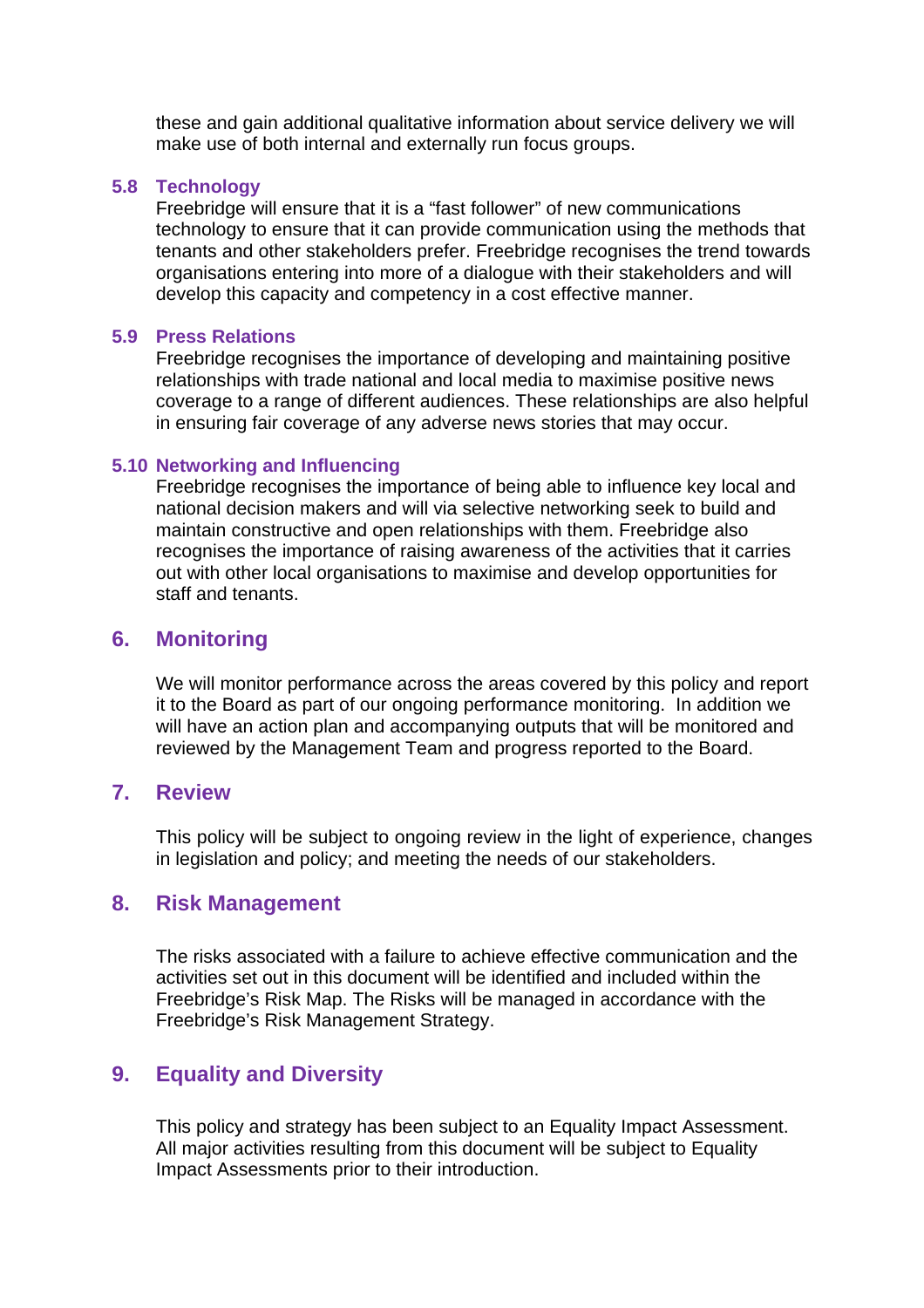these and gain additional qualitative information about service delivery we will make use of both internal and externally run focus groups.

#### **5.8 Technology**

Freebridge will ensure that it is a "fast follower" of new communications technology to ensure that it can provide communication using the methods that tenants and other stakeholders prefer. Freebridge recognises the trend towards organisations entering into more of a dialogue with their stakeholders and will develop this capacity and competency in a cost effective manner.

#### **5.9 Press Relations**

Freebridge recognises the importance of developing and maintaining positive relationships with trade national and local media to maximise positive news coverage to a range of different audiences. These relationships are also helpful in ensuring fair coverage of any adverse news stories that may occur.

#### **5.10 Networking and Influencing**

Freebridge recognises the importance of being able to influence key local and national decision makers and will via selective networking seek to build and maintain constructive and open relationships with them. Freebridge also recognises the importance of raising awareness of the activities that it carries out with other local organisations to maximise and develop opportunities for staff and tenants.

#### **6. Monitoring**

We will monitor performance across the areas covered by this policy and report it to the Board as part of our ongoing performance monitoring. In addition we will have an action plan and accompanying outputs that will be monitored and reviewed by the Management Team and progress reported to the Board.

#### **7. Review**

This policy will be subject to ongoing review in the light of experience, changes in legislation and policy; and meeting the needs of our stakeholders.

#### **8. Risk Management**

The risks associated with a failure to achieve effective communication and the activities set out in this document will be identified and included within the Freebridge's Risk Map. The Risks will be managed in accordance with the Freebridge's Risk Management Strategy.

### **9. Equality and Diversity**

This policy and strategy has been subject to an Equality Impact Assessment. All major activities resulting from this document will be subject to Equality Impact Assessments prior to their introduction.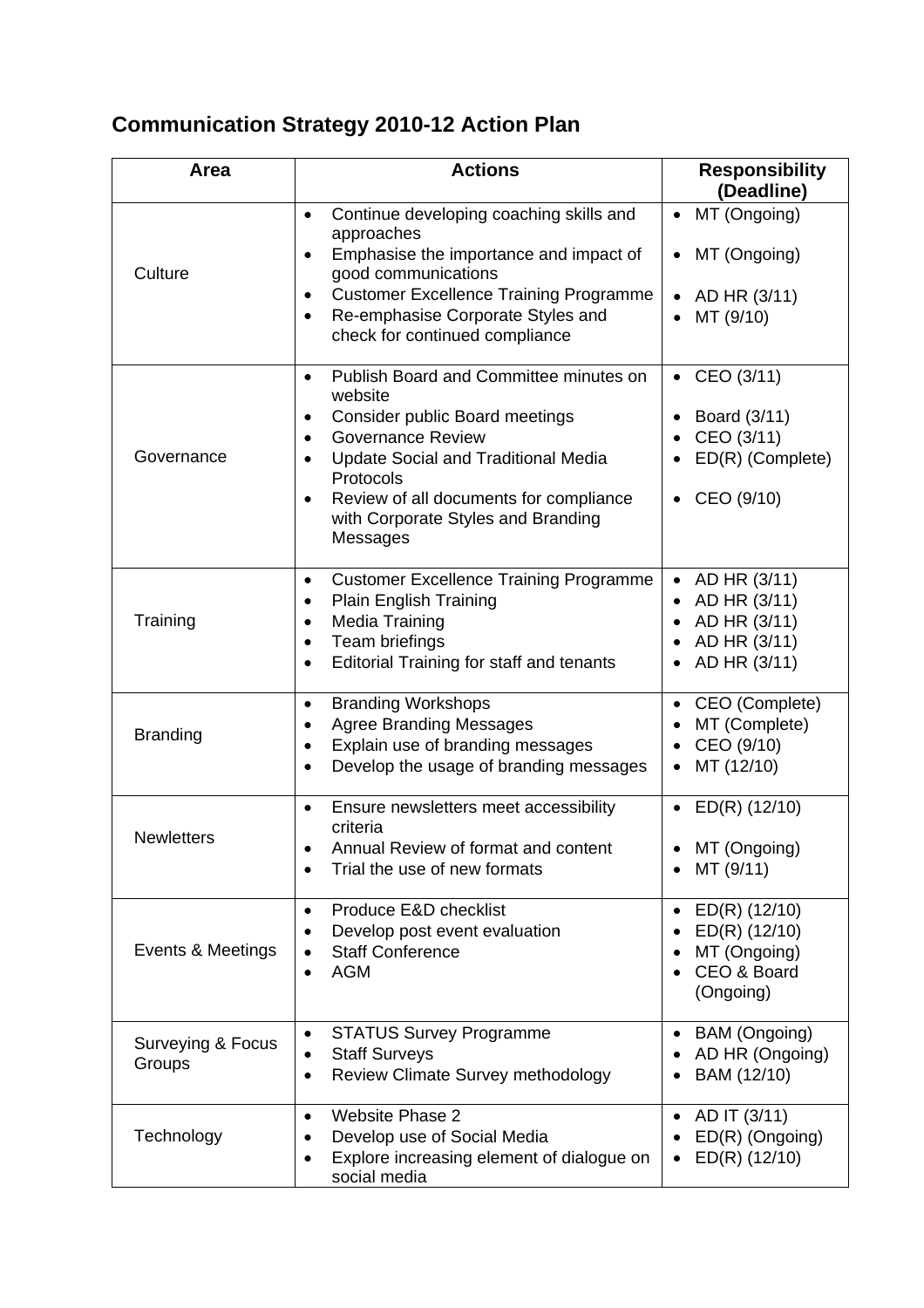# **Communication Strategy 2010-12 Action Plan**

| Area                        | <b>Actions</b>                                                                                                                                                                                                                                                                                                                          | <b>Responsibility</b><br>(Deadline)                                                       |
|-----------------------------|-----------------------------------------------------------------------------------------------------------------------------------------------------------------------------------------------------------------------------------------------------------------------------------------------------------------------------------------|-------------------------------------------------------------------------------------------|
| Culture                     | Continue developing coaching skills and<br>$\bullet$<br>approaches<br>Emphasise the importance and impact of<br>$\bullet$<br>good communications<br><b>Customer Excellence Training Programme</b><br>$\bullet$<br>Re-emphasise Corporate Styles and<br>$\bullet$<br>check for continued compliance                                      | MT (Ongoing)<br>$\bullet$<br>MT (Ongoing)<br>$\bullet$<br>AD HR (3/11)<br>MT (9/10)       |
| Governance                  | Publish Board and Committee minutes on<br>$\bullet$<br>website<br>Consider public Board meetings<br>$\bullet$<br><b>Governance Review</b><br>$\bullet$<br><b>Update Social and Traditional Media</b><br>$\bullet$<br>Protocols<br>Review of all documents for compliance<br>$\bullet$<br>with Corporate Styles and Branding<br>Messages | • CEO $(3/11)$<br>Board (3/11)<br>CEO (3/11)<br>ED(R) (Complete)<br>CEO (9/10)            |
| Training                    | <b>Customer Excellence Training Programme</b><br>$\bullet$<br><b>Plain English Training</b><br>$\bullet$<br>Media Training<br>$\bullet$<br>Team briefings<br>$\bullet$<br>Editorial Training for staff and tenants<br>$\bullet$                                                                                                         | AD HR (3/11)<br>$\bullet$<br>AD HR (3/11)<br>AD HR (3/11)<br>AD HR (3/11)<br>AD HR (3/11) |
| <b>Branding</b>             | <b>Branding Workshops</b><br>$\bullet$<br><b>Agree Branding Messages</b><br>$\bullet$<br>Explain use of branding messages<br>$\bullet$<br>Develop the usage of branding messages<br>$\bullet$                                                                                                                                           | CEO (Complete)<br>MT (Complete)<br>CEO (9/10)<br>MT (12/10)<br>$\bullet$                  |
| <b>Newletters</b>           | Ensure newsletters meet accessibility<br>$\bullet$<br>criteria<br>Annual Review of format and content<br>Trial the use of new formats                                                                                                                                                                                                   | ED(R) (12/10)<br>$\bullet$<br>MT (Ongoing)<br>MT (9/11)                                   |
| Events & Meetings           | Produce E&D checklist<br>$\bullet$<br>Develop post event evaluation<br>$\bullet$<br><b>Staff Conference</b><br><b>AGM</b><br>$\bullet$                                                                                                                                                                                                  | ED(R) (12/10)<br>ED(R) (12/10)<br>MT (Ongoing)<br>CEO & Board<br>(Ongoing)                |
| Surveying & Focus<br>Groups | <b>STATUS Survey Programme</b><br>$\bullet$<br><b>Staff Surveys</b><br>$\bullet$<br><b>Review Climate Survey methodology</b><br>$\bullet$                                                                                                                                                                                               | <b>BAM</b> (Ongoing)<br>AD HR (Ongoing)<br>BAM (12/10)                                    |
| Technology                  | <b>Website Phase 2</b><br>$\bullet$<br>Develop use of Social Media<br>$\bullet$<br>Explore increasing element of dialogue on<br>٠<br>social media                                                                                                                                                                                       | AD IT (3/11)<br>ED(R) (Ongoing)<br>ED(R) (12/10)<br>$\bullet$                             |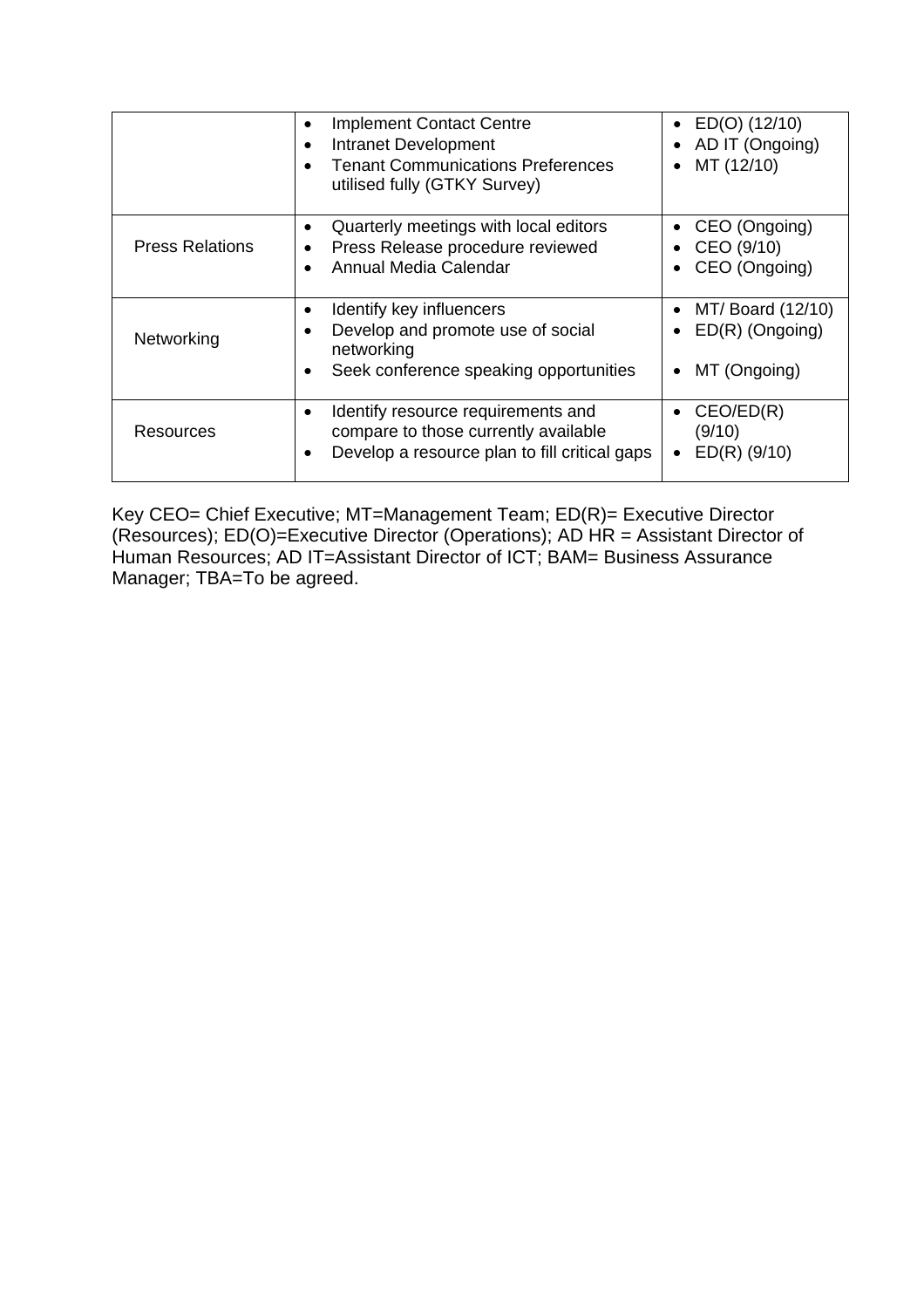|                        | <b>Implement Contact Centre</b><br>Intranet Development<br><b>Tenant Communications Preferences</b><br>utilised fully (GTKY Survey)      | $ED(O)$ (12/10)<br>AD IT (Ongoing)<br>MT (12/10)       |
|------------------------|------------------------------------------------------------------------------------------------------------------------------------------|--------------------------------------------------------|
| <b>Press Relations</b> | Quarterly meetings with local editors<br>Press Release procedure reviewed<br>Annual Media Calendar                                       | CEO (Ongoing)<br>CEO (9/10)<br>CEO (Ongoing)           |
| Networking             | Identify key influencers<br>Develop and promote use of social<br>networking<br>Seek conference speaking opportunities<br>$\bullet$       | MT/ Board (12/10)<br>$ED(R)$ (Ongoing)<br>MT (Ongoing) |
| <b>Resources</b>       | Identify resource requirements and<br>compare to those currently available<br>Develop a resource plan to fill critical gaps<br>$\bullet$ | CEO/ED(R)<br>(9/10)<br>$ED(R)$ (9/10)                  |

Key CEO= Chief Executive; MT=Management Team; ED(R)= Executive Director (Resources); ED(O)=Executive Director (Operations); AD HR = Assistant Director of Human Resources; AD IT=Assistant Director of ICT; BAM= Business Assurance Manager; TBA=To be agreed.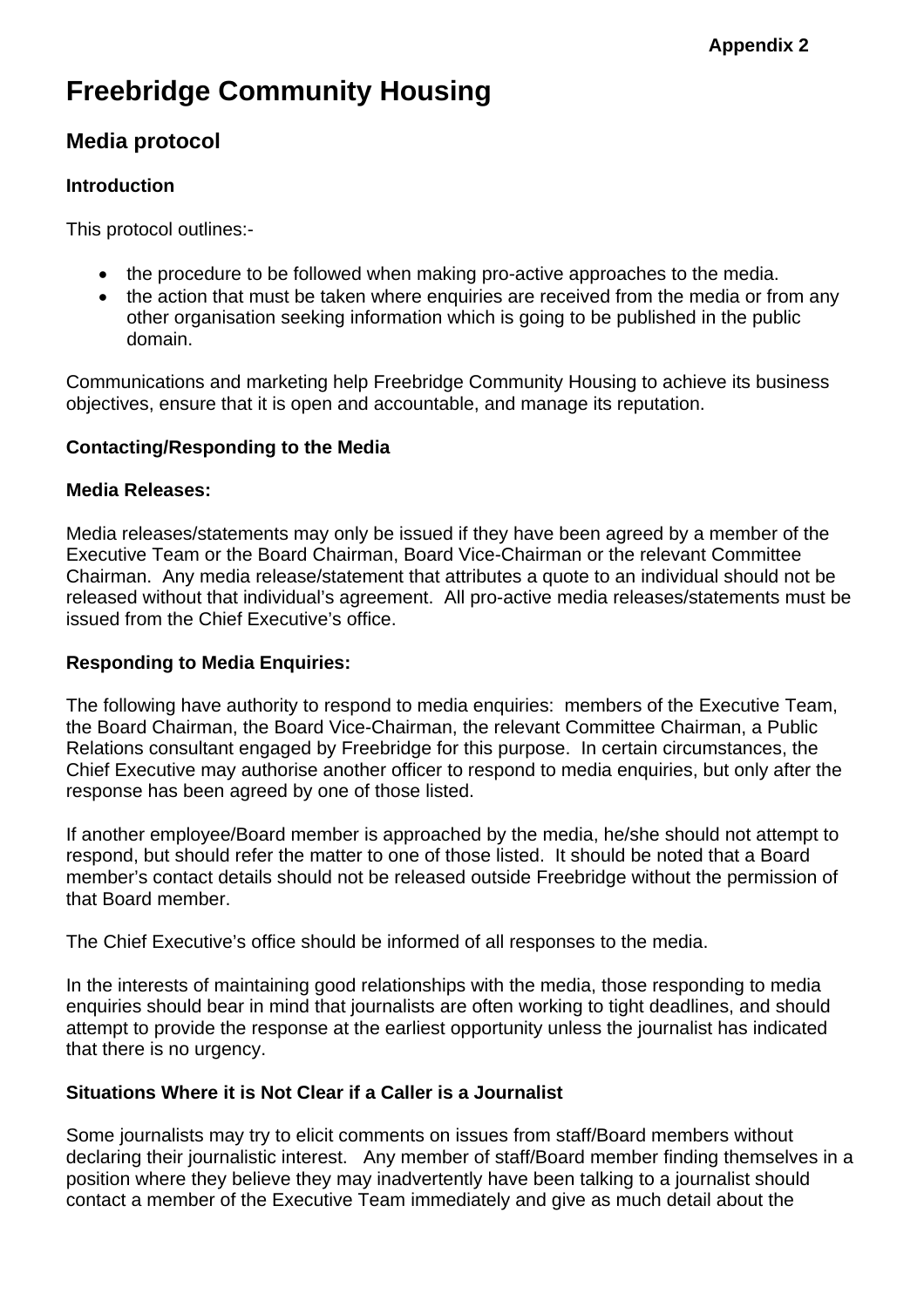# **Freebridge Community Housing**

## **Media protocol**

#### **Introduction**

This protocol outlines:-

- the procedure to be followed when making pro-active approaches to the media.
- the action that must be taken where enquiries are received from the media or from any other organisation seeking information which is going to be published in the public domain.

Communications and marketing help Freebridge Community Housing to achieve its business objectives, ensure that it is open and accountable, and manage its reputation.

#### **Contacting/Responding to the Media**

#### **Media Releases:**

Media releases/statements may only be issued if they have been agreed by a member of the Executive Team or the Board Chairman, Board Vice-Chairman or the relevant Committee Chairman. Any media release/statement that attributes a quote to an individual should not be released without that individual's agreement. All pro-active media releases/statements must be issued from the Chief Executive's office.

#### **Responding to Media Enquiries:**

The following have authority to respond to media enquiries: members of the Executive Team, the Board Chairman, the Board Vice-Chairman, the relevant Committee Chairman, a Public Relations consultant engaged by Freebridge for this purpose. In certain circumstances, the Chief Executive may authorise another officer to respond to media enquiries, but only after the response has been agreed by one of those listed.

If another employee/Board member is approached by the media, he/she should not attempt to respond, but should refer the matter to one of those listed. It should be noted that a Board member's contact details should not be released outside Freebridge without the permission of that Board member.

The Chief Executive's office should be informed of all responses to the media.

In the interests of maintaining good relationships with the media, those responding to media enquiries should bear in mind that journalists are often working to tight deadlines, and should attempt to provide the response at the earliest opportunity unless the journalist has indicated that there is no urgency.

#### **Situations Where it is Not Clear if a Caller is a Journalist**

Some journalists may try to elicit comments on issues from staff/Board members without declaring their journalistic interest. Any member of staff/Board member finding themselves in a position where they believe they may inadvertently have been talking to a journalist should contact a member of the Executive Team immediately and give as much detail about the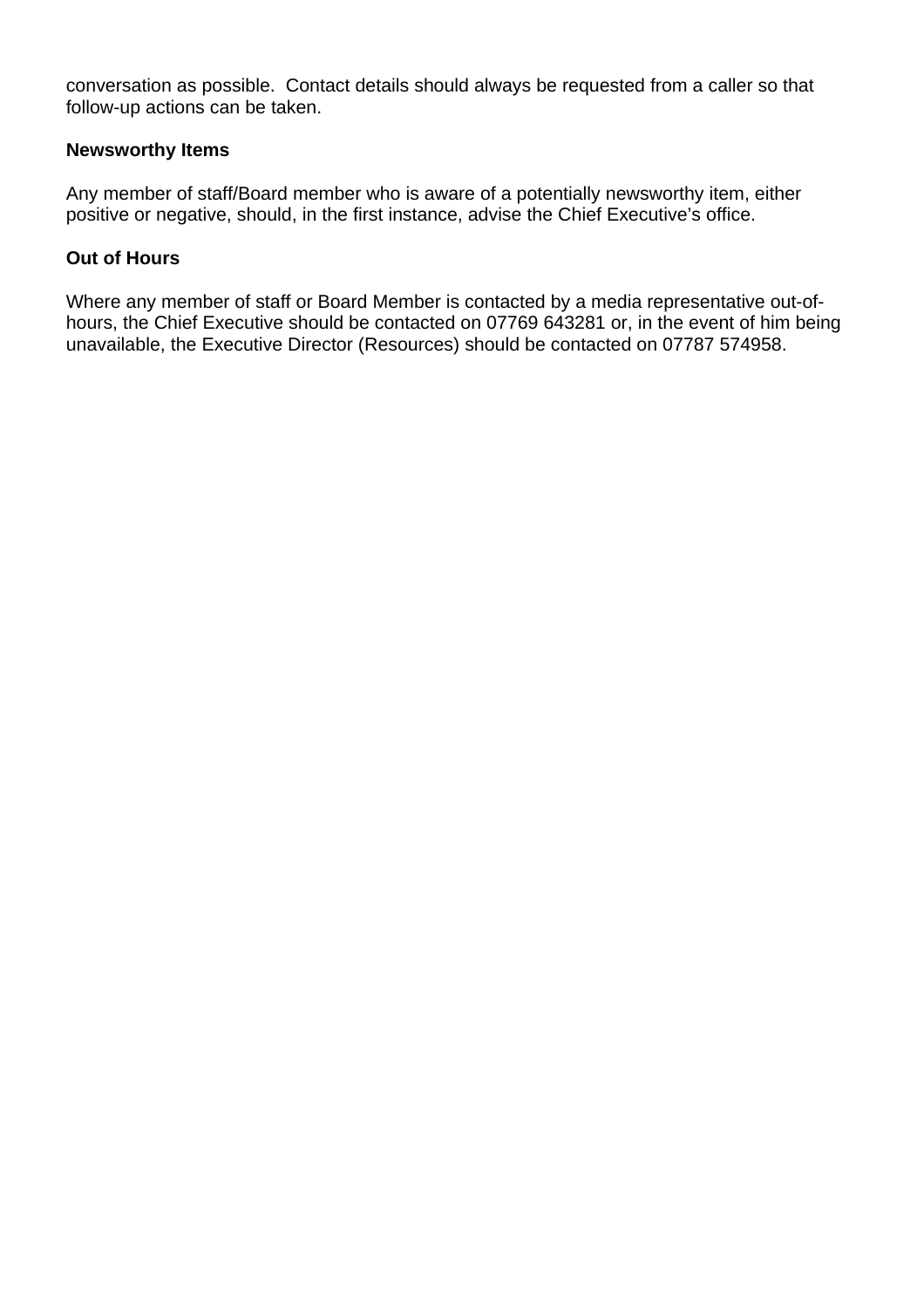conversation as possible. Contact details should always be requested from a caller so that follow-up actions can be taken.

#### **Newsworthy Items**

Any member of staff/Board member who is aware of a potentially newsworthy item, either positive or negative, should, in the first instance, advise the Chief Executive's office.

#### **Out of Hours**

Where any member of staff or Board Member is contacted by a media representative out-ofhours, the Chief Executive should be contacted on 07769 643281 or, in the event of him being unavailable, the Executive Director (Resources) should be contacted on 07787 574958.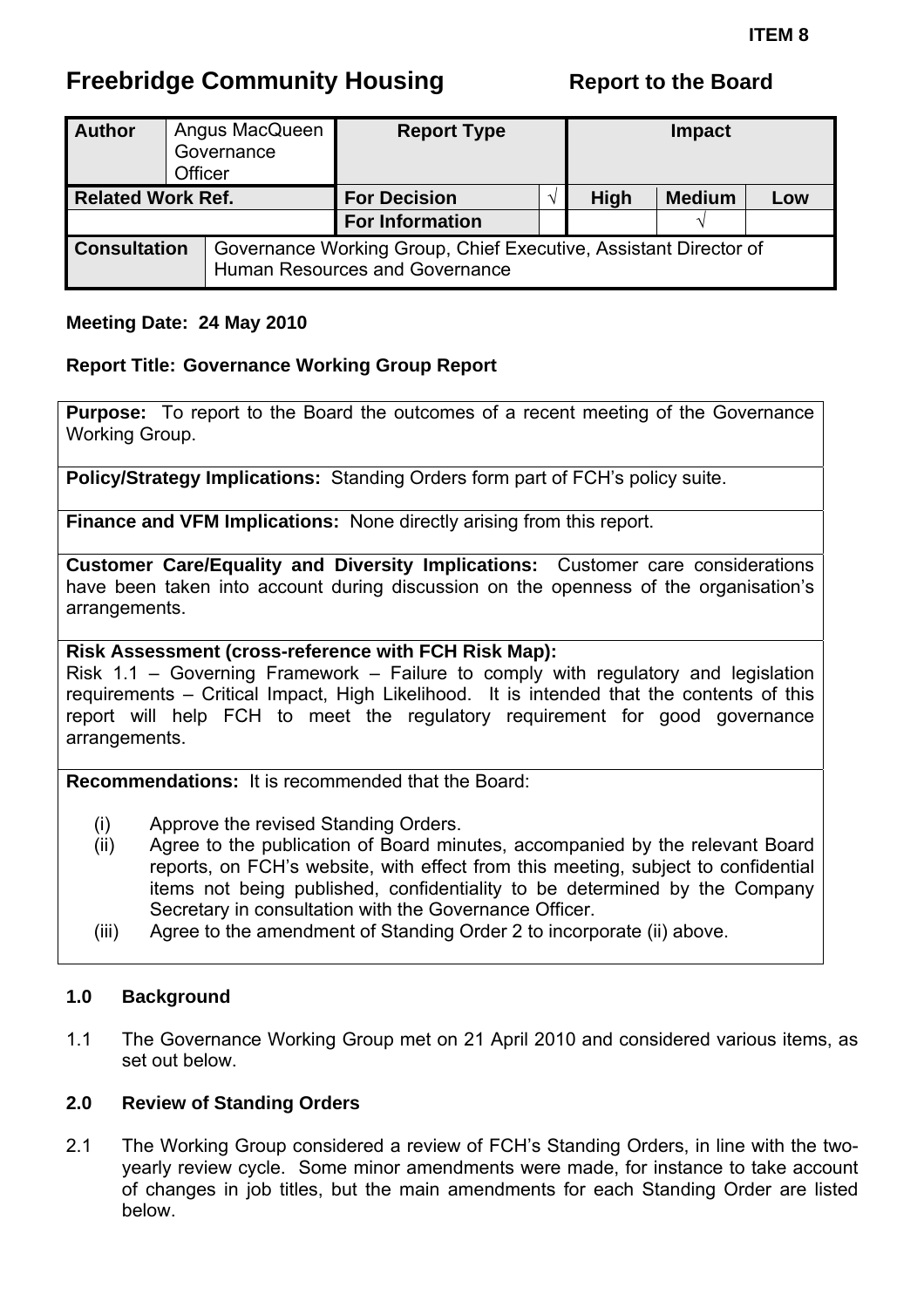# <span id="page-19-0"></span>**Freebridge Community Housing The Report to the Board**

| <b>Author</b>            | Officer | Angus MacQueen<br>Governance | <b>Report Type</b>                                                                                 |  |             | <b>Impact</b> |     |  |
|--------------------------|---------|------------------------------|----------------------------------------------------------------------------------------------------|--|-------------|---------------|-----|--|
| <b>Related Work Ref.</b> |         |                              | <b>For Decision</b>                                                                                |  | <b>High</b> | <b>Medium</b> | Low |  |
|                          |         |                              | <b>For Information</b>                                                                             |  |             |               |     |  |
| <b>Consultation</b>      |         |                              | Governance Working Group, Chief Executive, Assistant Director of<br>Human Resources and Governance |  |             |               |     |  |

#### **Meeting Date: 24 May 2010**

#### **Report Title: Governance Working Group Report**

**Purpose:** To report to the Board the outcomes of a recent meeting of the Governance Working Group.

**Policy/Strategy Implications:** Standing Orders form part of FCH's policy suite.

**Finance and VFM Implications:** None directly arising from this report.

**Customer Care/Equality and Diversity Implications:** Customer care considerations have been taken into account during discussion on the openness of the organisation's arrangements.

#### **Risk Assessment (cross-reference with FCH Risk Map):**

Risk 1.1 – Governing Framework – Failure to comply with regulatory and legislation requirements – Critical Impact, High Likelihood. It is intended that the contents of this report will help FCH to meet the regulatory requirement for good governance arrangements.

**Recommendations:** It is recommended that the Board:

- (i) Approve the revised Standing Orders.
- (ii) Agree to the publication of Board minutes, accompanied by the relevant Board reports, on FCH's website, with effect from this meeting, subject to confidential items not being published, confidentiality to be determined by the Company Secretary in consultation with the Governance Officer.
- (iii) Agree to the amendment of Standing Order 2 to incorporate (ii) above.

#### **1.0 Background**

1.1 The Governance Working Group met on 21 April 2010 and considered various items, as set out below.

#### **2.0 Review of Standing Orders**

2.1 The Working Group considered a review of FCH's Standing Orders, in line with the twoyearly review cycle. Some minor amendments were made, for instance to take account of changes in job titles, but the main amendments for each Standing Order are listed below.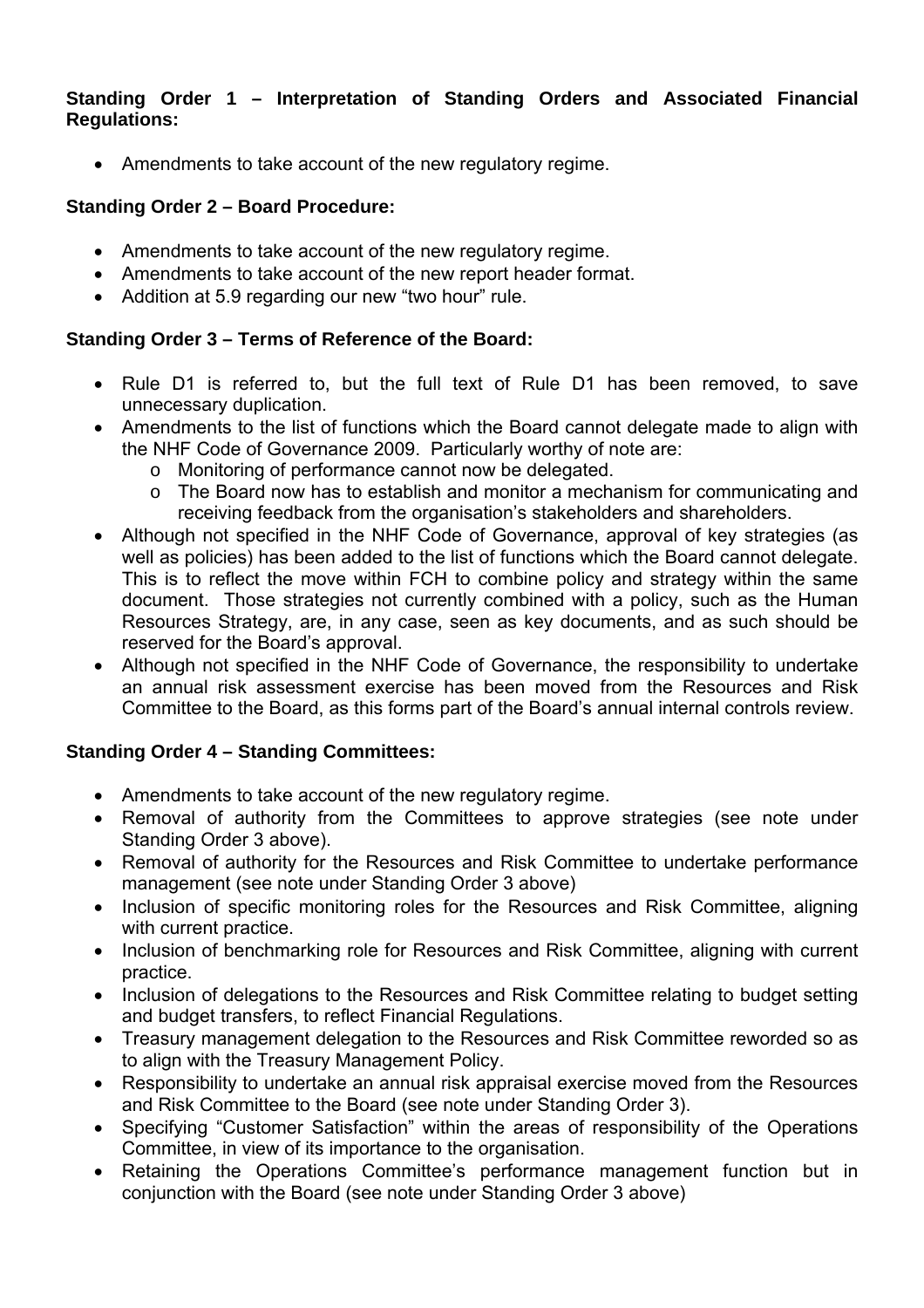#### **Standing Order 1 – Interpretation of Standing Orders and Associated Financial Regulations:**

• Amendments to take account of the new regulatory regime.

#### **Standing Order 2 – Board Procedure:**

- Amendments to take account of the new regulatory regime.
- Amendments to take account of the new report header format.
- Addition at 5.9 regarding our new "two hour" rule.

#### **Standing Order 3 – Terms of Reference of the Board:**

- Rule D1 is referred to, but the full text of Rule D1 has been removed, to save unnecessary duplication.
- Amendments to the list of functions which the Board cannot delegate made to align with the NHF Code of Governance 2009. Particularly worthy of note are:
	- o Monitoring of performance cannot now be delegated.
	- o The Board now has to establish and monitor a mechanism for communicating and receiving feedback from the organisation's stakeholders and shareholders.
- Although not specified in the NHF Code of Governance, approval of key strategies (as well as policies) has been added to the list of functions which the Board cannot delegate. This is to reflect the move within FCH to combine policy and strategy within the same document. Those strategies not currently combined with a policy, such as the Human Resources Strategy, are, in any case, seen as key documents, and as such should be reserved for the Board's approval.
- Although not specified in the NHF Code of Governance, the responsibility to undertake an annual risk assessment exercise has been moved from the Resources and Risk Committee to the Board, as this forms part of the Board's annual internal controls review.

### **Standing Order 4 – Standing Committees:**

- Amendments to take account of the new regulatory regime.
- Removal of authority from the Committees to approve strategies (see note under Standing Order 3 above).
- Removal of authority for the Resources and Risk Committee to undertake performance management (see note under Standing Order 3 above)
- Inclusion of specific monitoring roles for the Resources and Risk Committee, aligning with current practice.
- Inclusion of benchmarking role for Resources and Risk Committee, aligning with current practice.
- Inclusion of delegations to the Resources and Risk Committee relating to budget setting and budget transfers, to reflect Financial Regulations.
- Treasury management delegation to the Resources and Risk Committee reworded so as to align with the Treasury Management Policy.
- Responsibility to undertake an annual risk appraisal exercise moved from the Resources and Risk Committee to the Board (see note under Standing Order 3).
- Specifying "Customer Satisfaction" within the areas of responsibility of the Operations Committee, in view of its importance to the organisation.
- Retaining the Operations Committee's performance management function but in conjunction with the Board (see note under Standing Order 3 above)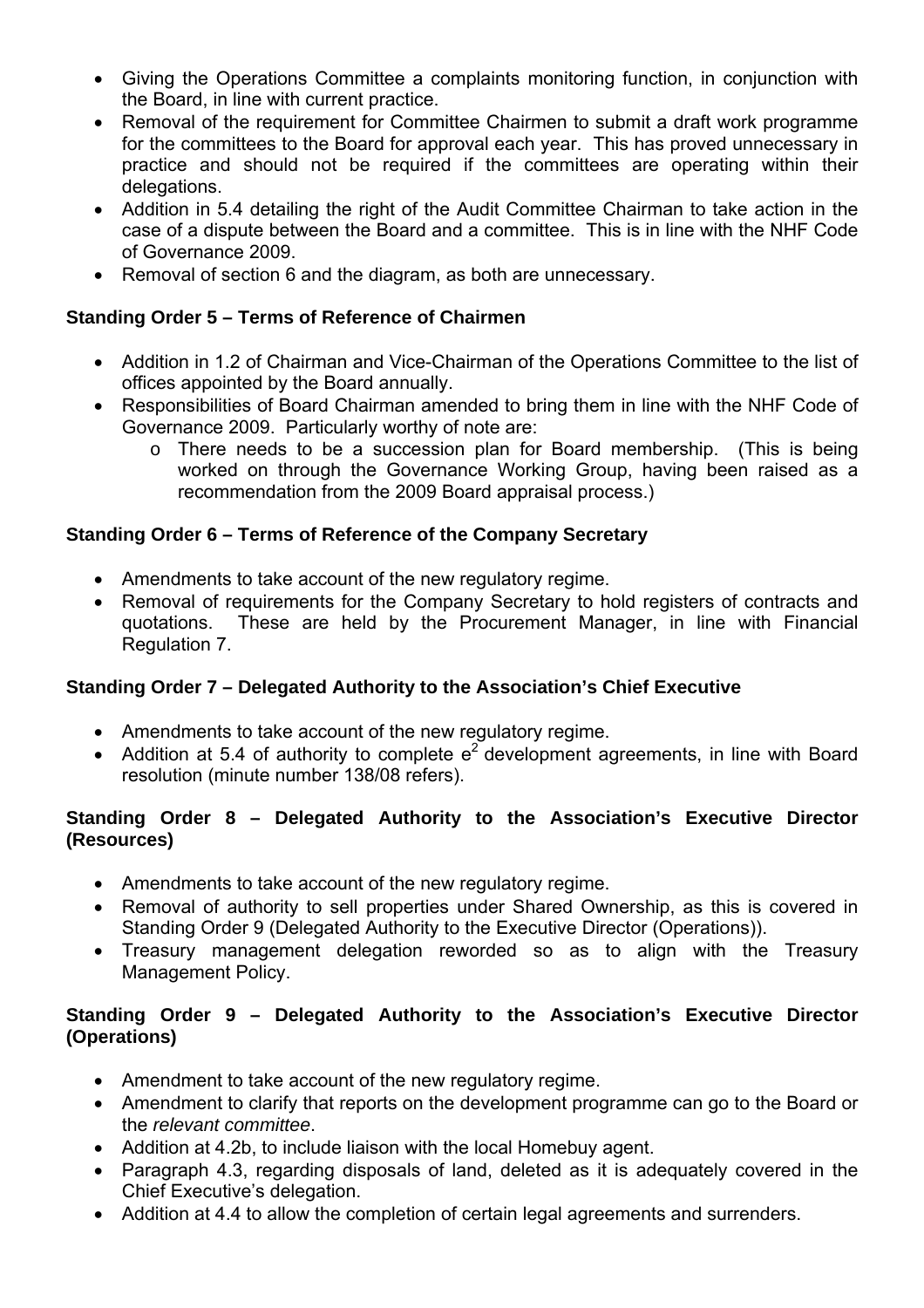- Giving the Operations Committee a complaints monitoring function, in conjunction with the Board, in line with current practice.
- Removal of the requirement for Committee Chairmen to submit a draft work programme for the committees to the Board for approval each year. This has proved unnecessary in practice and should not be required if the committees are operating within their delegations.
- Addition in 5.4 detailing the right of the Audit Committee Chairman to take action in the case of a dispute between the Board and a committee. This is in line with the NHF Code of Governance 2009.
- Removal of section 6 and the diagram, as both are unnecessary.

#### **Standing Order 5 – Terms of Reference of Chairmen**

- Addition in 1.2 of Chairman and Vice-Chairman of the Operations Committee to the list of offices appointed by the Board annually.
- Responsibilities of Board Chairman amended to bring them in line with the NHF Code of Governance 2009. Particularly worthy of note are:
	- o There needs to be a succession plan for Board membership. (This is being worked on through the Governance Working Group, having been raised as a recommendation from the 2009 Board appraisal process.)

#### **Standing Order 6 – Terms of Reference of the Company Secretary**

- Amendments to take account of the new regulatory regime.
- Removal of requirements for the Company Secretary to hold registers of contracts and quotations. These are held by the Procurement Manager, in line with Financial Regulation 7.

#### **Standing Order 7 – Delegated Authority to the Association's Chief Executive**

- Amendments to take account of the new regulatory regime.
- Addition at 5.4 of authority to complete  $e^2$  development agreements, in line with Board resolution (minute number 138/08 refers).

#### **Standing Order 8 – Delegated Authority to the Association's Executive Director (Resources)**

- Amendments to take account of the new regulatory regime.
- Removal of authority to sell properties under Shared Ownership, as this is covered in Standing Order 9 (Delegated Authority to the Executive Director (Operations)).
- Treasury management delegation reworded so as to align with the Treasury Management Policy.

### **Standing Order 9 – Delegated Authority to the Association's Executive Director (Operations)**

- Amendment to take account of the new regulatory regime.
- Amendment to clarify that reports on the development programme can go to the Board or the *relevant committee*.
- Addition at 4.2b, to include liaison with the local Homebuy agent.
- Paragraph 4.3, regarding disposals of land, deleted as it is adequately covered in the Chief Executive's delegation.
- Addition at 4.4 to allow the completion of certain legal agreements and surrenders.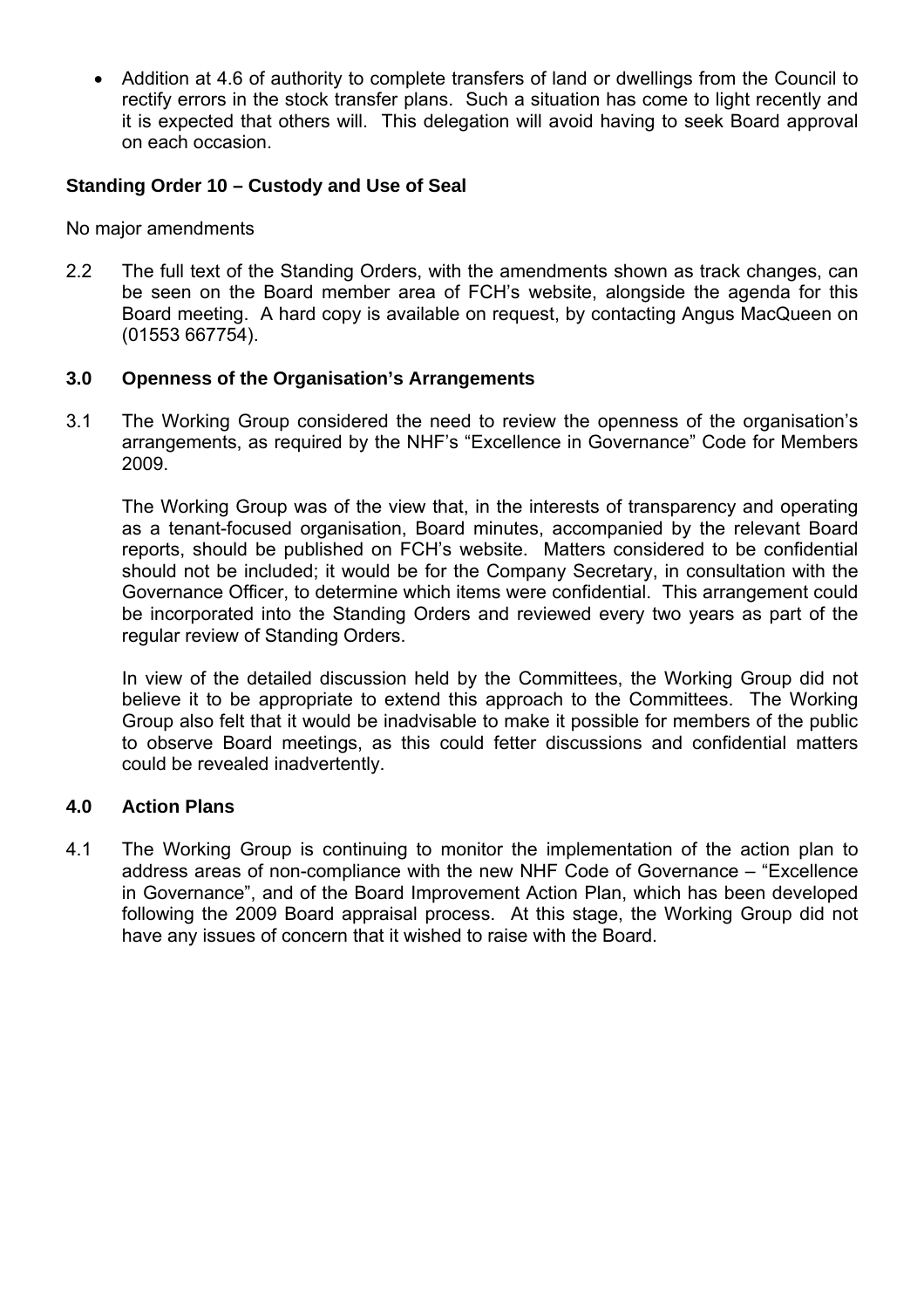• Addition at 4.6 of authority to complete transfers of land or dwellings from the Council to rectify errors in the stock transfer plans. Such a situation has come to light recently and it is expected that others will. This delegation will avoid having to seek Board approval on each occasion.

#### **Standing Order 10 – Custody and Use of Seal**

No major amendments

2.2 The full text of the Standing Orders, with the amendments shown as track changes, can be seen on the Board member area of FCH's website, alongside the agenda for this Board meeting. A hard copy is available on request, by contacting Angus MacQueen on (01553 667754).

#### **3.0 Openness of the Organisation's Arrangements**

3.1 The Working Group considered the need to review the openness of the organisation's arrangements, as required by the NHF's "Excellence in Governance" Code for Members 2009.

The Working Group was of the view that, in the interests of transparency and operating as a tenant-focused organisation, Board minutes, accompanied by the relevant Board reports, should be published on FCH's website. Matters considered to be confidential should not be included; it would be for the Company Secretary, in consultation with the Governance Officer, to determine which items were confidential. This arrangement could be incorporated into the Standing Orders and reviewed every two years as part of the regular review of Standing Orders.

In view of the detailed discussion held by the Committees, the Working Group did not believe it to be appropriate to extend this approach to the Committees. The Working Group also felt that it would be inadvisable to make it possible for members of the public to observe Board meetings, as this could fetter discussions and confidential matters could be revealed inadvertently.

#### **4.0 Action Plans**

4.1 The Working Group is continuing to monitor the implementation of the action plan to address areas of non-compliance with the new NHF Code of Governance – "Excellence in Governance", and of the Board Improvement Action Plan, which has been developed following the 2009 Board appraisal process. At this stage, the Working Group did not have any issues of concern that it wished to raise with the Board.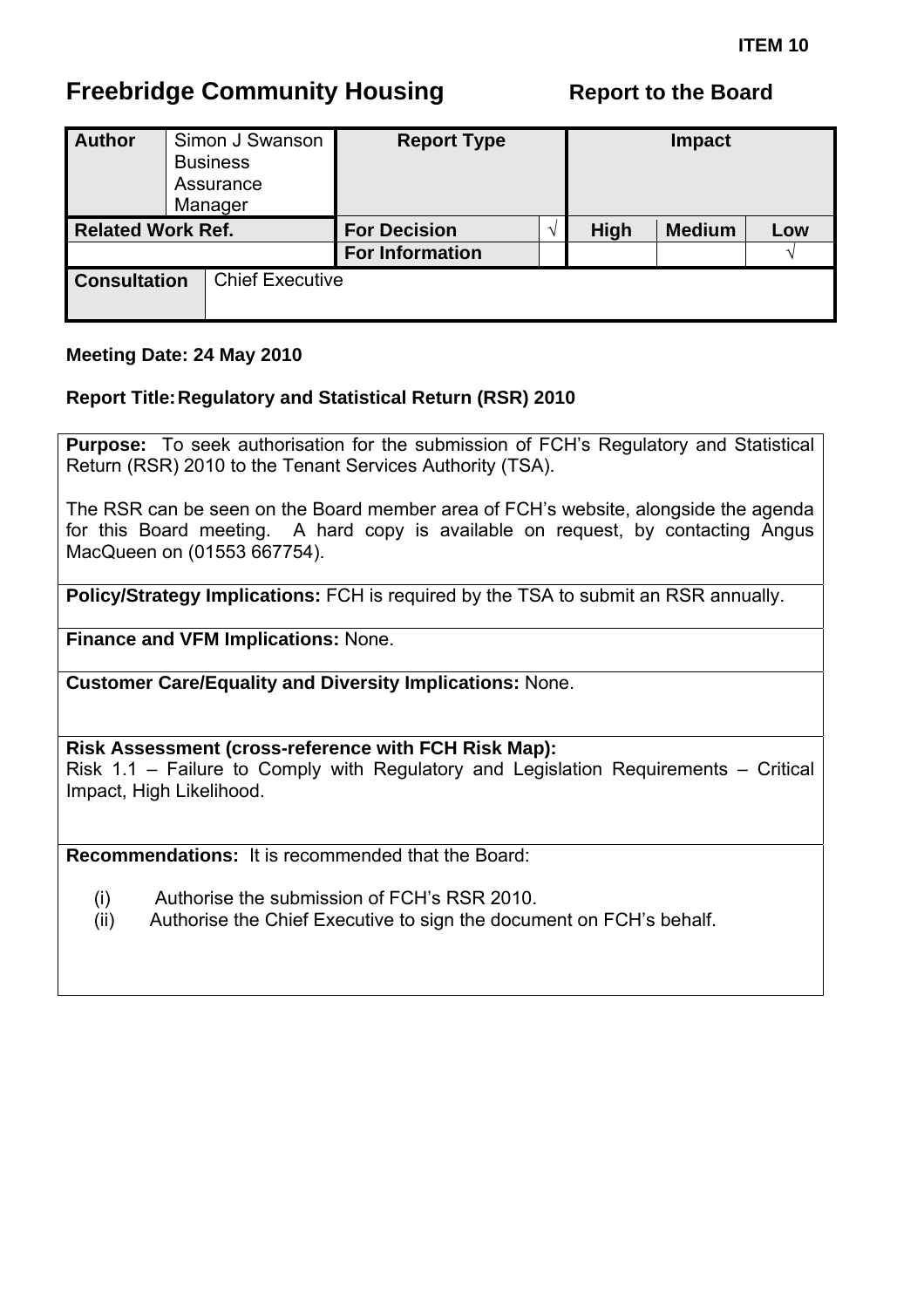# <span id="page-23-0"></span>**Freebridge Community Housing The Report to the Board**

| <b>Author</b>            |  | Simon J Swanson<br><b>Business</b><br>Assurance<br>Manager | <b>Report Type</b>     |      | <b>Impact</b> |     |
|--------------------------|--|------------------------------------------------------------|------------------------|------|---------------|-----|
| <b>Related Work Ref.</b> |  |                                                            | <b>For Decision</b>    | High | <b>Medium</b> | Low |
|                          |  |                                                            | <b>For Information</b> |      |               |     |
| <b>Consultation</b>      |  | <b>Chief Executive</b>                                     |                        |      |               |     |

#### **Meeting Date: 24 May 2010**

#### **Report Title: Regulatory and Statistical Return (RSR) 2010**

**Purpose:** To seek authorisation for the submission of FCH's Regulatory and Statistical Return (RSR) 2010 to the Tenant Services Authority (TSA).

The RSR can be seen on the Board member area of FCH's website, alongside the agenda for this Board meeting. A hard copy is available on request, by contacting Angus MacQueen on (01553 667754).

**Policy/Strategy Implications:** FCH is required by the TSA to submit an RSR annually.

**Finance and VFM Implications:** None.

**Customer Care/Equality and Diversity Implications:** None.

**Risk Assessment (cross-reference with FCH Risk Map):**  Risk 1.1 – Failure to Comply with Regulatory and Legislation Requirements – Critical Impact, High Likelihood.

**Recommendations:** It is recommended that the Board:

- (i) Authorise the submission of FCH's RSR 2010.
- (ii) Authorise the Chief Executive to sign the document on FCH's behalf.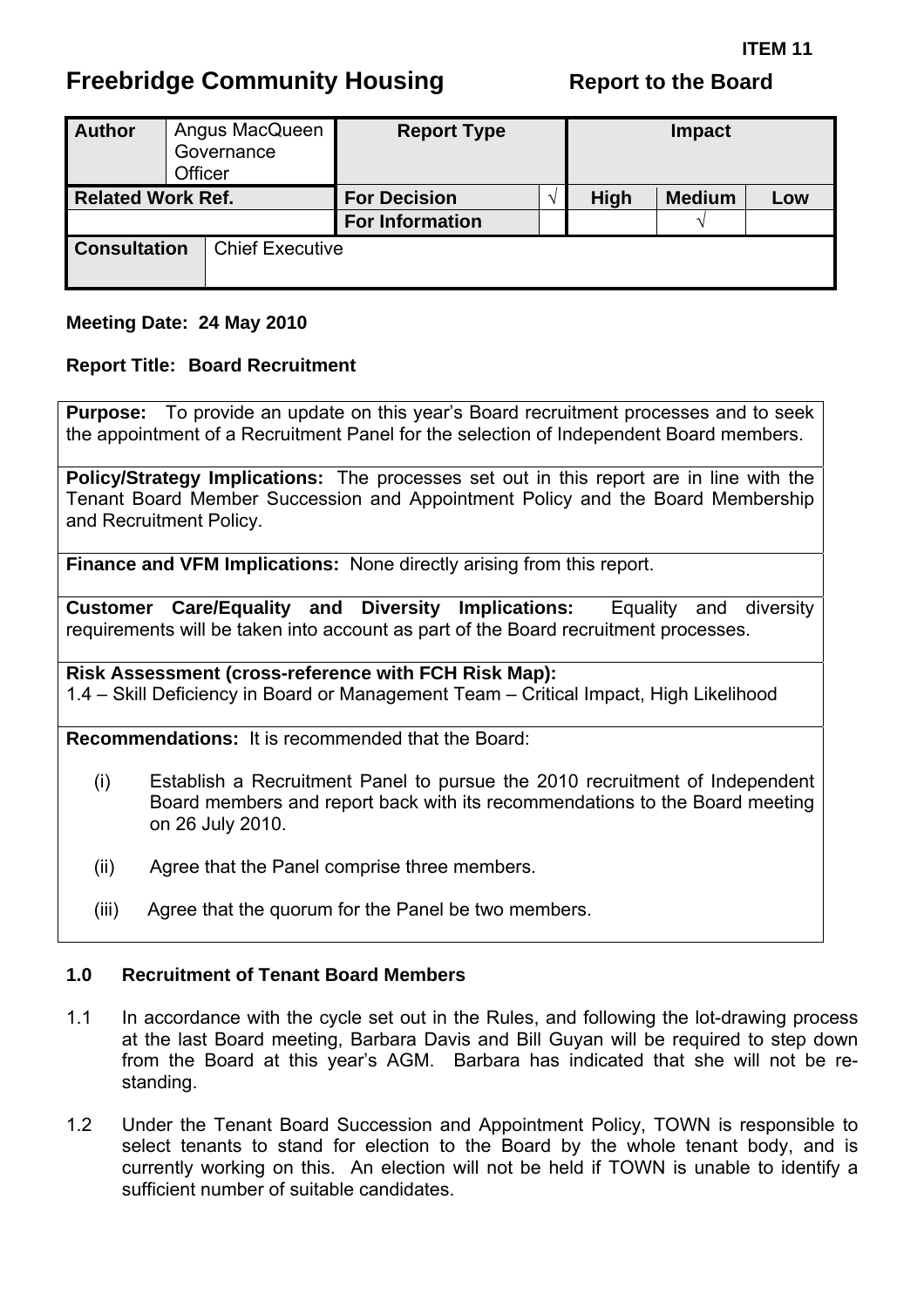# <span id="page-24-0"></span>**Freebridge Community Housing The Report to the Board**

| <b>Author</b>            | Officer | Angus MacQueen<br>Governance | <b>Report Type</b>     |             | <b>Impact</b> |     |  |
|--------------------------|---------|------------------------------|------------------------|-------------|---------------|-----|--|
| <b>Related Work Ref.</b> |         |                              | <b>For Decision</b>    | <b>High</b> | <b>Medium</b> | Low |  |
|                          |         |                              | <b>For Information</b> |             | $\Delta$      |     |  |
| <b>Consultation</b>      |         | <b>Chief Executive</b>       |                        |             |               |     |  |

#### **Meeting Date: 24 May 2010**

#### **Report Title: Board Recruitment**

**Purpose:** To provide an update on this year's Board recruitment processes and to seek the appointment of a Recruitment Panel for the selection of Independent Board members.

**Policy/Strategy Implications:** The processes set out in this report are in line with the Tenant Board Member Succession and Appointment Policy and the Board Membership and Recruitment Policy.

**Finance and VFM Implications:** None directly arising from this report.

**Customer Care/Equality and Diversity Implications:** Equality and diversity requirements will be taken into account as part of the Board recruitment processes.

**Risk Assessment (cross-reference with FCH Risk Map):** 

1.4 – Skill Deficiency in Board or Management Team – Critical Impact, High Likelihood

**Recommendations:** It is recommended that the Board:

- (i) Establish a Recruitment Panel to pursue the 2010 recruitment of Independent Board members and report back with its recommendations to the Board meeting on 26 July 2010.
- (ii) Agree that the Panel comprise three members.
- (iii) Agree that the quorum for the Panel be two members.

#### **1.0 Recruitment of Tenant Board Members**

- 1.1 In accordance with the cycle set out in the Rules, and following the lot-drawing process at the last Board meeting, Barbara Davis and Bill Guyan will be required to step down from the Board at this year's AGM. Barbara has indicated that she will not be restanding.
- 1.2 Under the Tenant Board Succession and Appointment Policy, TOWN is responsible to select tenants to stand for election to the Board by the whole tenant body, and is currently working on this. An election will not be held if TOWN is unable to identify a sufficient number of suitable candidates.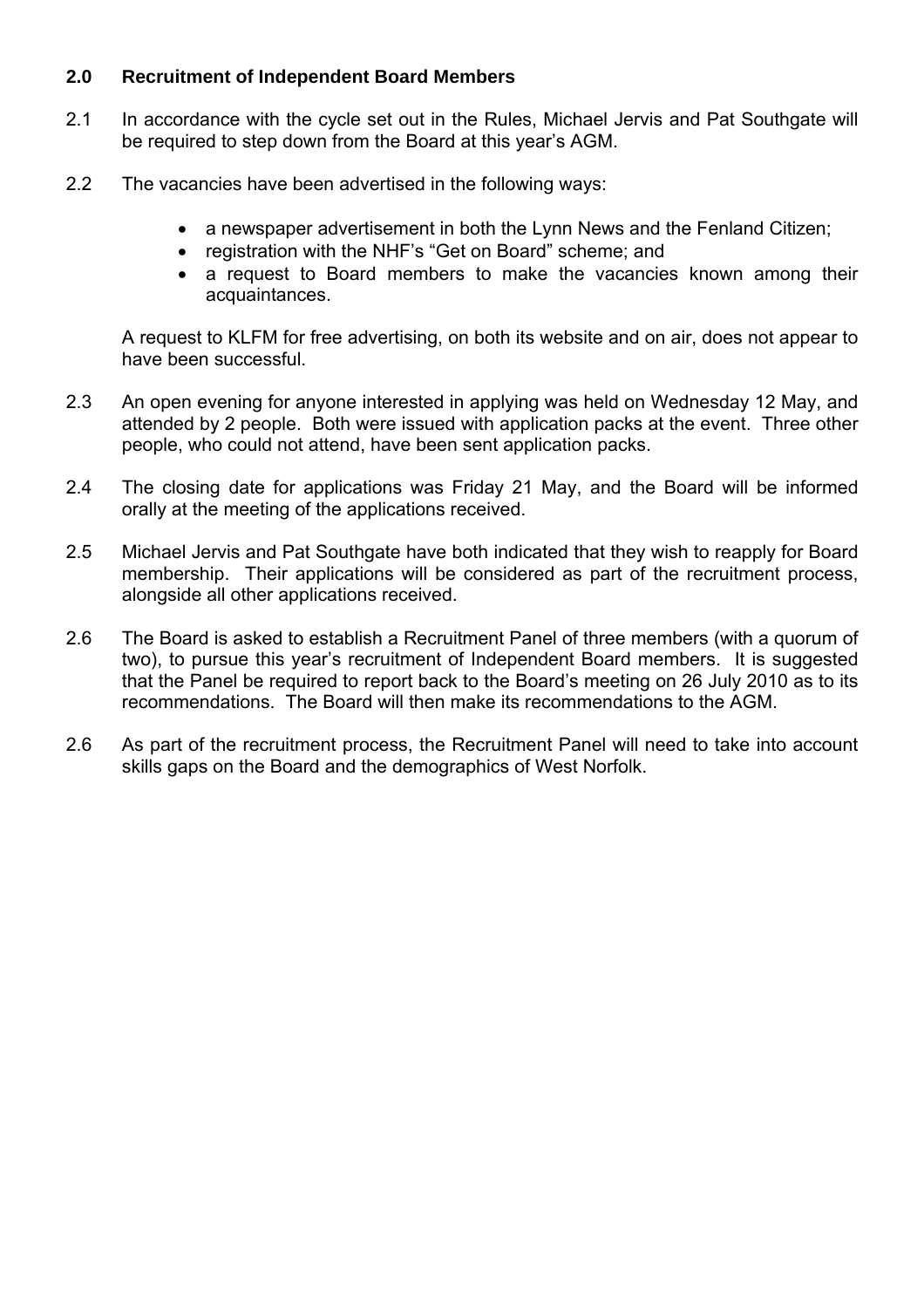#### **2.0 Recruitment of Independent Board Members**

- 2.1 In accordance with the cycle set out in the Rules, Michael Jervis and Pat Southgate will be required to step down from the Board at this year's AGM.
- 2.2 The vacancies have been advertised in the following ways:
	- a newspaper advertisement in both the Lynn News and the Fenland Citizen;
	- registration with the NHF's "Get on Board" scheme; and
	- a request to Board members to make the vacancies known among their acquaintances.

A request to KLFM for free advertising, on both its website and on air, does not appear to have been successful.

- 2.3 An open evening for anyone interested in applying was held on Wednesday 12 May, and attended by 2 people. Both were issued with application packs at the event. Three other people, who could not attend, have been sent application packs.
- 2.4 The closing date for applications was Friday 21 May, and the Board will be informed orally at the meeting of the applications received.
- 2.5 Michael Jervis and Pat Southgate have both indicated that they wish to reapply for Board membership. Their applications will be considered as part of the recruitment process, alongside all other applications received.
- 2.6 The Board is asked to establish a Recruitment Panel of three members (with a quorum of two), to pursue this year's recruitment of Independent Board members. It is suggested that the Panel be required to report back to the Board's meeting on 26 July 2010 as to its recommendations. The Board will then make its recommendations to the AGM.
- 2.6 As part of the recruitment process, the Recruitment Panel will need to take into account skills gaps on the Board and the demographics of West Norfolk.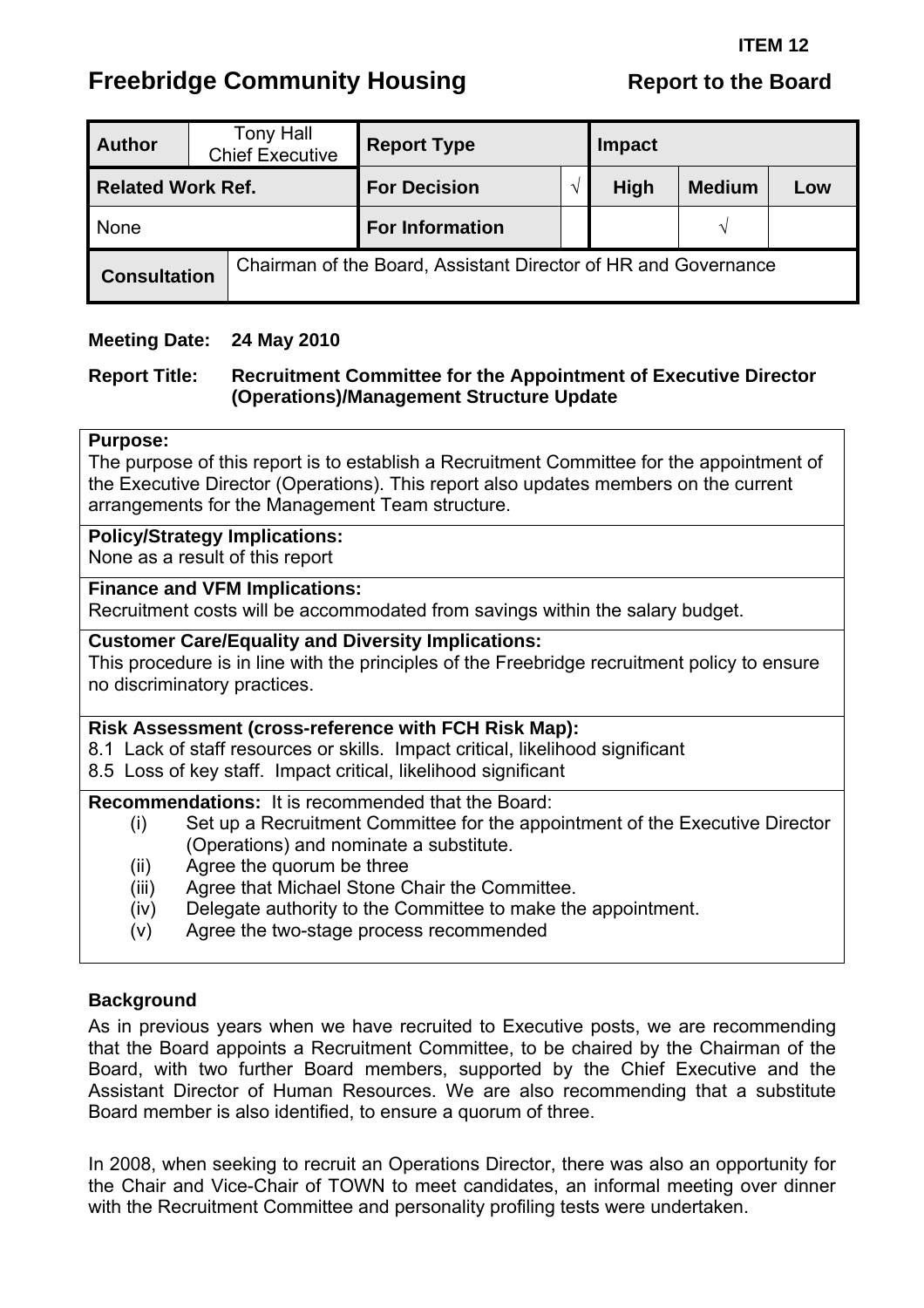# <span id="page-26-0"></span>**Freebridge Community Housing The Report to the Board**

| <b>Author</b>            |  | <b>Tony Hall</b><br><b>Chief Executive</b> | <b>Report Type</b>                                             | <b>Impact</b> |             |               |     |  |
|--------------------------|--|--------------------------------------------|----------------------------------------------------------------|---------------|-------------|---------------|-----|--|
| <b>Related Work Ref.</b> |  |                                            | <b>For Decision</b>                                            |               | <b>High</b> | <b>Medium</b> | Low |  |
| None                     |  |                                            | <b>For Information</b>                                         |               |             |               |     |  |
| <b>Consultation</b>      |  |                                            | Chairman of the Board, Assistant Director of HR and Governance |               |             |               |     |  |

#### **Meeting Date: 24 May 2010**

#### **Report Title: Recruitment Committee for the Appointment of Executive Director (Operations)/Management Structure Update**

#### **Purpose:**

The purpose of this report is to establish a Recruitment Committee for the appointment of the Executive Director (Operations). This report also updates members on the current arrangements for the Management Team structure.

#### **Policy/Strategy Implications:**

None as a result of this report

#### **Finance and VFM Implications:**

Recruitment costs will be accommodated from savings within the salary budget.

#### **Customer Care/Equality and Diversity Implications:**

This procedure is in line with the principles of the Freebridge recruitment policy to ensure no discriminatory practices.

#### **Risk Assessment (cross-reference with FCH Risk Map):**

8.1 Lack of staff resources or skills. Impact critical, likelihood significant

8.5 Loss of key staff. Impact critical, likelihood significant

**Recommendations:** It is recommended that the Board:

- (i) Set up a Recruitment Committee for the appointment of the Executive Director (Operations) and nominate a substitute.
- (ii) Agree the quorum be three
- (iii) Agree that Michael Stone Chair the Committee.
- (iv) Delegate authority to the Committee to make the appointment.
- (v) Agree the two-stage process recommended

#### **Background**

As in previous years when we have recruited to Executive posts, we are recommending that the Board appoints a Recruitment Committee, to be chaired by the Chairman of the Board, with two further Board members, supported by the Chief Executive and the Assistant Director of Human Resources. We are also recommending that a substitute Board member is also identified, to ensure a quorum of three.

In 2008, when seeking to recruit an Operations Director, there was also an opportunity for the Chair and Vice-Chair of TOWN to meet candidates, an informal meeting over dinner with the Recruitment Committee and personality profiling tests were undertaken.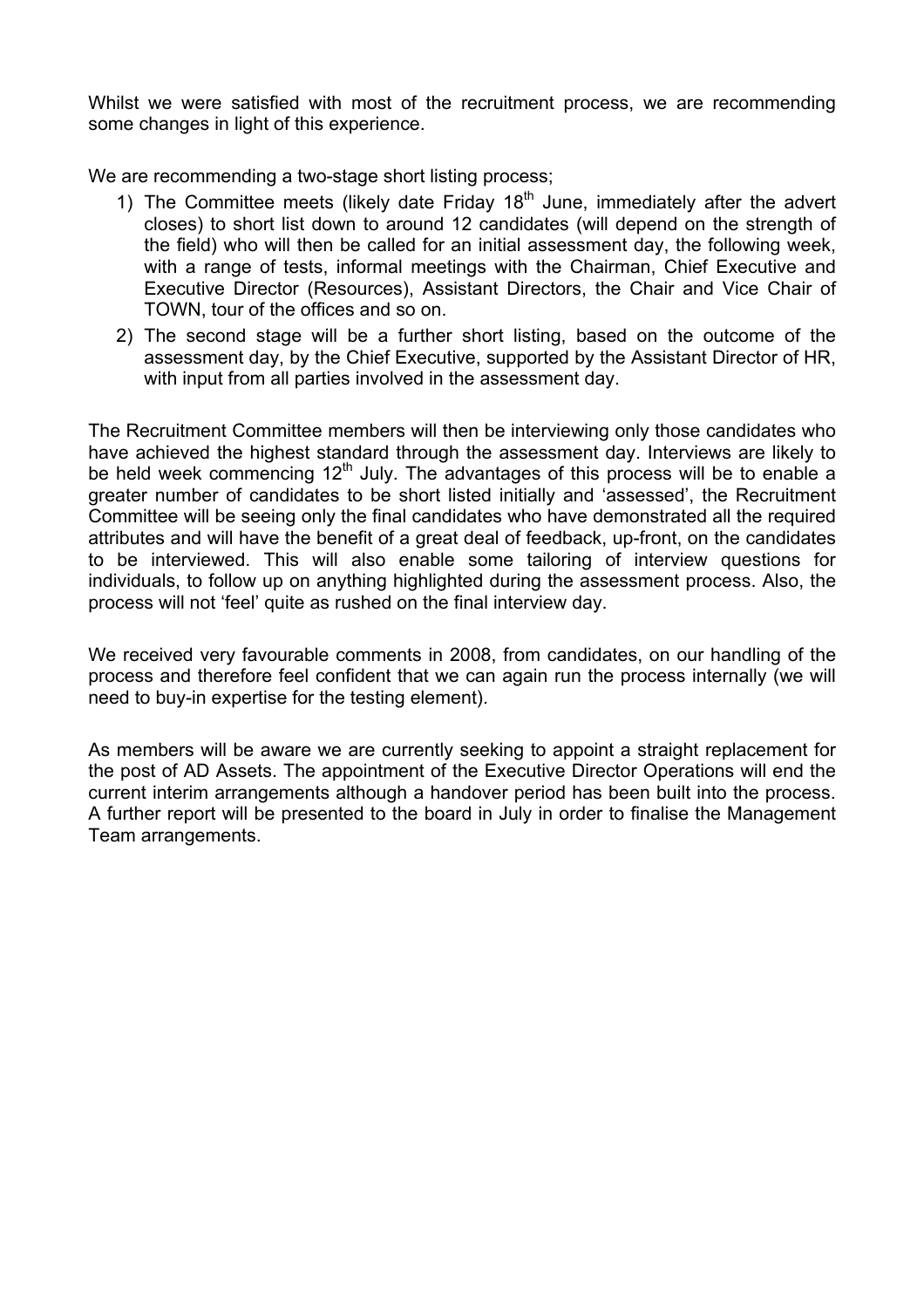Whilst we were satisfied with most of the recruitment process, we are recommending some changes in light of this experience.

We are recommending a two-stage short listing process;

- 1) The Committee meets (likely date Friday  $18<sup>th</sup>$  June, immediately after the advert closes) to short list down to around 12 candidates (will depend on the strength of the field) who will then be called for an initial assessment day, the following week, with a range of tests, informal meetings with the Chairman, Chief Executive and Executive Director (Resources), Assistant Directors, the Chair and Vice Chair of TOWN, tour of the offices and so on.
- 2) The second stage will be a further short listing, based on the outcome of the assessment day, by the Chief Executive, supported by the Assistant Director of HR, with input from all parties involved in the assessment day.

The Recruitment Committee members will then be interviewing only those candidates who have achieved the highest standard through the assessment day. Interviews are likely to be held week commencing 12<sup>th</sup> July. The advantages of this process will be to enable a greater number of candidates to be short listed initially and 'assessed', the Recruitment Committee will be seeing only the final candidates who have demonstrated all the required attributes and will have the benefit of a great deal of feedback, up-front, on the candidates to be interviewed. This will also enable some tailoring of interview questions for individuals, to follow up on anything highlighted during the assessment process. Also, the process will not 'feel' quite as rushed on the final interview day.

We received very favourable comments in 2008, from candidates, on our handling of the process and therefore feel confident that we can again run the process internally (we will need to buy-in expertise for the testing element).

As members will be aware we are currently seeking to appoint a straight replacement for the post of AD Assets. The appointment of the Executive Director Operations will end the current interim arrangements although a handover period has been built into the process. A further report will be presented to the board in July in order to finalise the Management Team arrangements.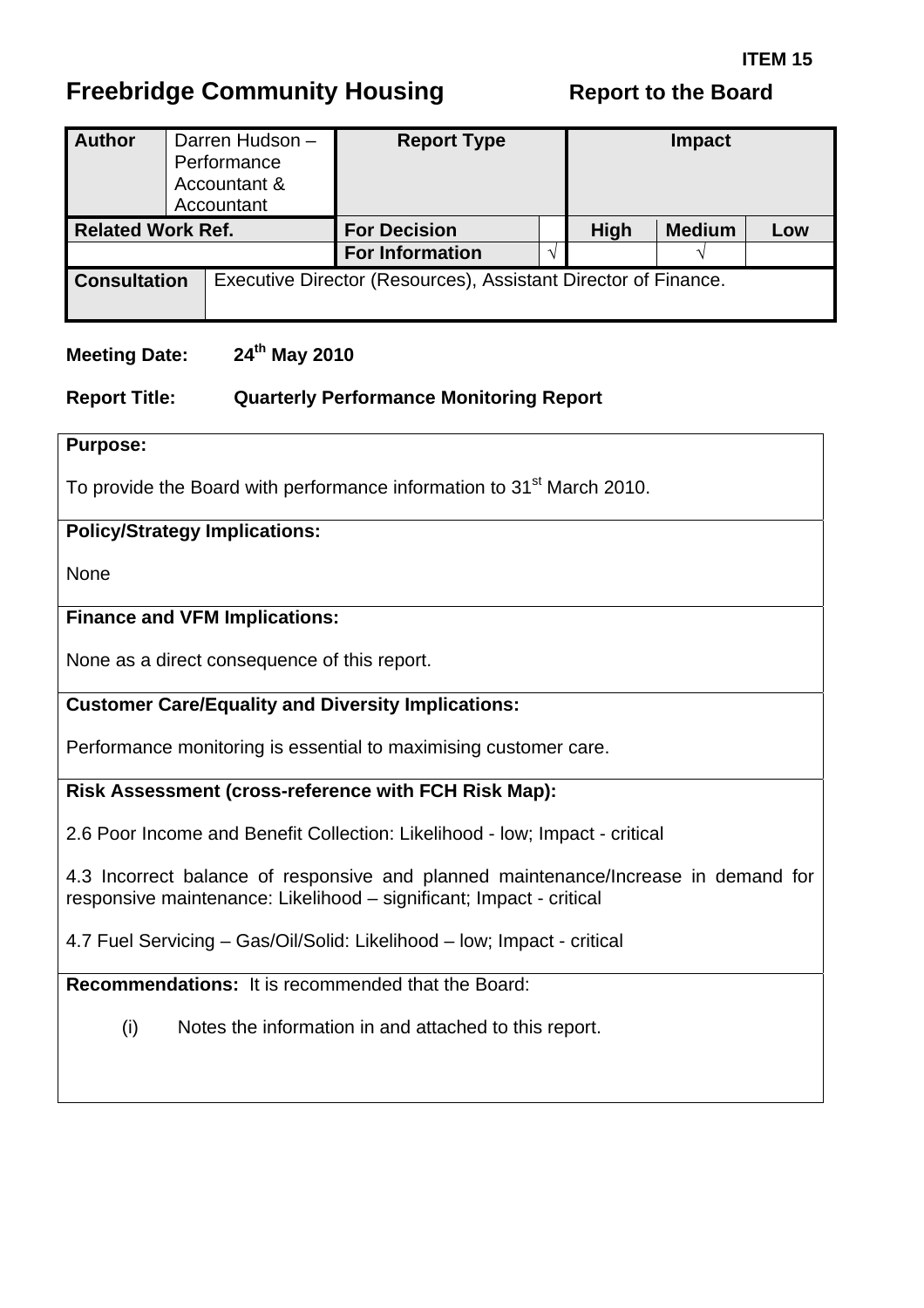# <span id="page-28-0"></span>**Freebridge Community Housing The Report to the Board**

| <b>Author</b>            |  | Darren Hudson -<br>Performance<br>Accountant &<br>Accountant | <b>Report Type</b>                                             |             | <b>Impact</b> |     |
|--------------------------|--|--------------------------------------------------------------|----------------------------------------------------------------|-------------|---------------|-----|
| <b>Related Work Ref.</b> |  |                                                              | <b>For Decision</b>                                            | <b>High</b> | <b>Medium</b> | Low |
|                          |  |                                                              | <b>For Information</b>                                         |             |               |     |
| <b>Consultation</b>      |  |                                                              | Executive Director (Resources), Assistant Director of Finance. |             |               |     |

#### **Meeting Date: 24th May 2010**

#### **Report Title: Quarterly Performance Monitoring Report**

#### **Purpose:**

To provide the Board with performance information to 31<sup>st</sup> March 2010.

#### **Policy/Strategy Implications:**

None

#### **Finance and VFM Implications:**

None as a direct consequence of this report.

#### **Customer Care/Equality and Diversity Implications:**

Performance monitoring is essential to maximising customer care.

#### **Risk Assessment (cross-reference with FCH Risk Map):**

2.6 Poor Income and Benefit Collection: Likelihood - low; Impact - critical

4.3 Incorrect balance of responsive and planned maintenance/Increase in demand for responsive maintenance: Likelihood – significant; Impact - critical

4.7 Fuel Servicing – Gas/Oil/Solid: Likelihood – low; Impact - critical

**Recommendations:** It is recommended that the Board:

(i) Notes the information in and attached to this report.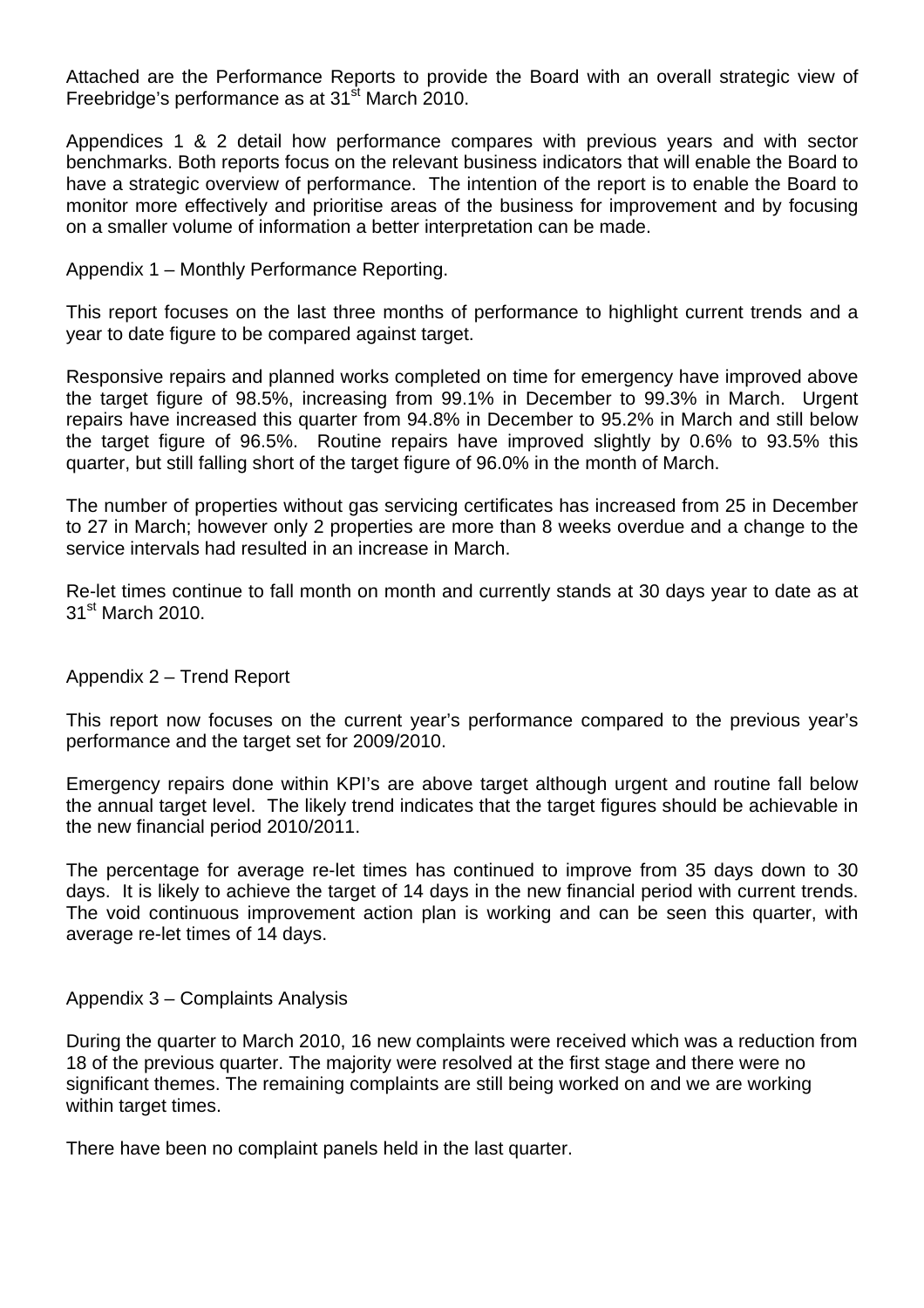Attached are the Performance Reports to provide the Board with an overall strategic view of Freebridge's performance as at  $31<sup>st</sup>$  March 2010.

Appendices 1 & 2 detail how performance compares with previous years and with sector benchmarks. Both reports focus on the relevant business indicators that will enable the Board to have a strategic overview of performance. The intention of the report is to enable the Board to monitor more effectively and prioritise areas of the business for improvement and by focusing on a smaller volume of information a better interpretation can be made.

Appendix 1 – Monthly Performance Reporting.

This report focuses on the last three months of performance to highlight current trends and a year to date figure to be compared against target.

Responsive repairs and planned works completed on time for emergency have improved above the target figure of 98.5%, increasing from 99.1% in December to 99.3% in March. Urgent repairs have increased this quarter from 94.8% in December to 95.2% in March and still below the target figure of 96.5%. Routine repairs have improved slightly by 0.6% to 93.5% this quarter, but still falling short of the target figure of 96.0% in the month of March.

The number of properties without gas servicing certificates has increased from 25 in December to 27 in March; however only 2 properties are more than 8 weeks overdue and a change to the service intervals had resulted in an increase in March.

Re-let times continue to fall month on month and currently stands at 30 days year to date as at 31<sup>st</sup> March 2010.

Appendix 2 – Trend Report

This report now focuses on the current year's performance compared to the previous year's performance and the target set for 2009/2010.

Emergency repairs done within KPI's are above target although urgent and routine fall below the annual target level. The likely trend indicates that the target figures should be achievable in the new financial period 2010/2011.

The percentage for average re-let times has continued to improve from 35 days down to 30 days. It is likely to achieve the target of 14 days in the new financial period with current trends. The void continuous improvement action plan is working and can be seen this quarter, with average re-let times of 14 days.

Appendix 3 – Complaints Analysis

During the quarter to March 2010, 16 new complaints were received which was a reduction from 18 of the previous quarter. The majority were resolved at the first stage and there were no significant themes. The remaining complaints are still being worked on and we are working within target times.

There have been no complaint panels held in the last quarter.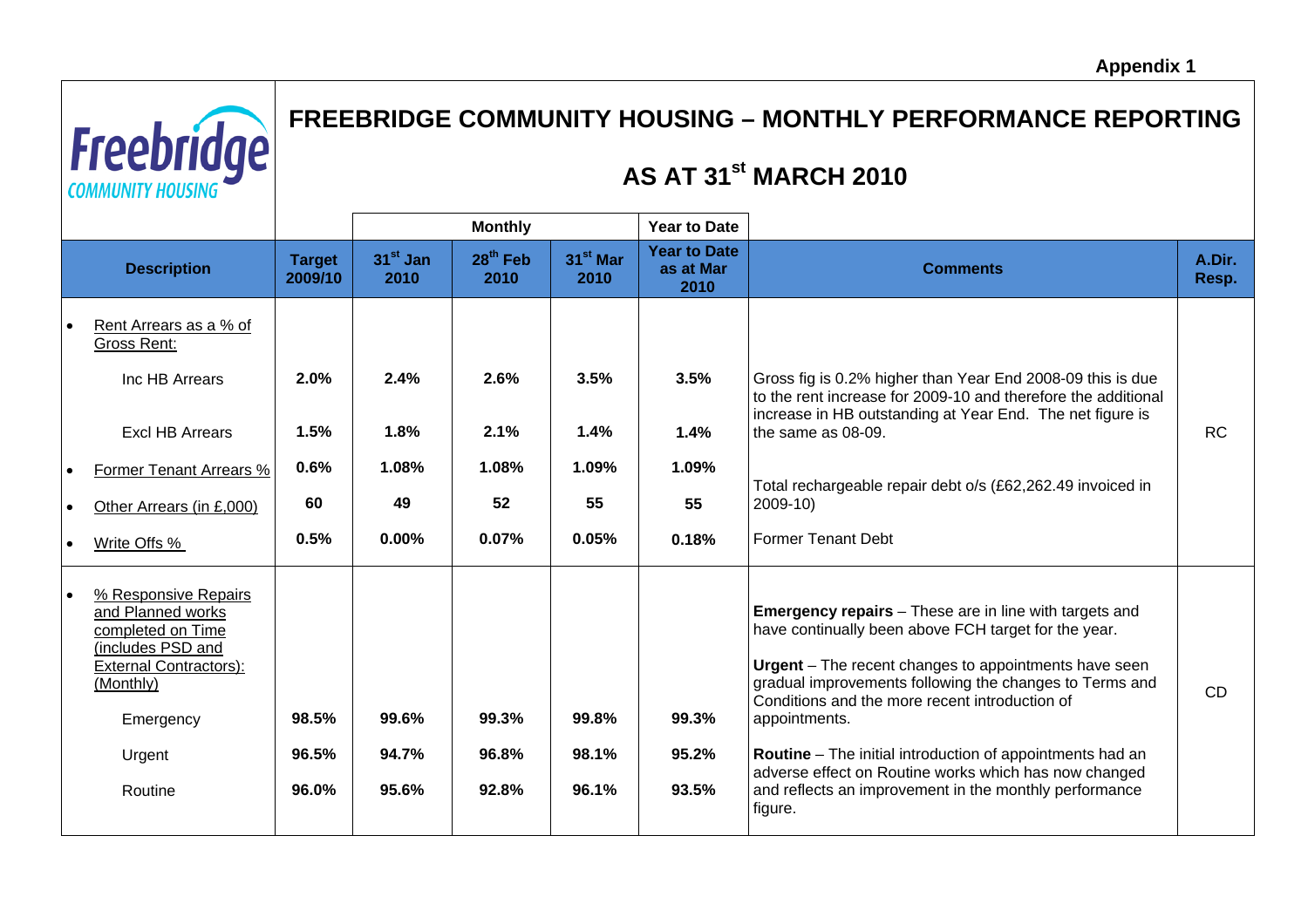

# **FREEBRIDGE COMMUNITY HOUSING – MONTHLY PERFORMANCE REPORTING**

## **AS AT 31st MARCH 2010**

|                                                                                                                                                                     |                                    |                                         | <b>Monthly</b>                          |                                      | <b>Year to Date</b>                      |                                                                                                                                                                                                                                                                                                                                                                                                                                                                                                                |                 |
|---------------------------------------------------------------------------------------------------------------------------------------------------------------------|------------------------------------|-----------------------------------------|-----------------------------------------|--------------------------------------|------------------------------------------|----------------------------------------------------------------------------------------------------------------------------------------------------------------------------------------------------------------------------------------------------------------------------------------------------------------------------------------------------------------------------------------------------------------------------------------------------------------------------------------------------------------|-----------------|
| <b>Description</b>                                                                                                                                                  | <b>Target</b><br>2009/10           | $31st$ Jan<br>2010                      | 28 <sup>th</sup> Feb<br>2010            | 31 <sup>st</sup> Mar<br>2010         | <b>Year to Date</b><br>as at Mar<br>2010 | <b>Comments</b>                                                                                                                                                                                                                                                                                                                                                                                                                                                                                                | A.Dir.<br>Resp. |
| Rent Arrears as a % of<br>Gross Rent:<br>Inc HB Arrears<br><b>Excl HB Arrears</b><br>Former Tenant Arrears %<br>Other Arrears (in £,000)<br>Write Offs %            | 2.0%<br>1.5%<br>0.6%<br>60<br>0.5% | 2.4%<br>1.8%<br>1.08%<br>49<br>$0.00\%$ | 2.6%<br>2.1%<br>1.08%<br>52<br>$0.07\%$ | 3.5%<br>1.4%<br>1.09%<br>55<br>0.05% | 3.5%<br>1.4%<br>1.09%<br>55<br>0.18%     | Gross fig is 0.2% higher than Year End 2008-09 this is due<br>to the rent increase for 2009-10 and therefore the additional<br>increase in HB outstanding at Year End. The net figure is<br>the same as 08-09.<br>Total rechargeable repair debt o/s (£62,262.49 invoiced in<br>2009-10)<br><b>Former Tenant Debt</b>                                                                                                                                                                                          | <b>RC</b>       |
| % Responsive Repairs<br>and Planned works<br>completed on Time<br>(includes PSD and<br><b>External Contractors):</b><br>(Monthly)<br>Emergency<br>Urgent<br>Routine | 98.5%<br>96.5%<br>96.0%            | 99.6%<br>94.7%<br>95.6%                 | 99.3%<br>96.8%<br>92.8%                 | 99.8%<br>98.1%<br>96.1%              | 99.3%<br>95.2%<br>93.5%                  | <b>Emergency repairs</b> – These are in line with targets and<br>have continually been above FCH target for the year.<br>Urgent - The recent changes to appointments have seen<br>gradual improvements following the changes to Terms and<br>Conditions and the more recent introduction of<br>appointments.<br><b>Routine</b> – The initial introduction of appointments had an<br>adverse effect on Routine works which has now changed<br>and reflects an improvement in the monthly performance<br>figure. | <b>CD</b>       |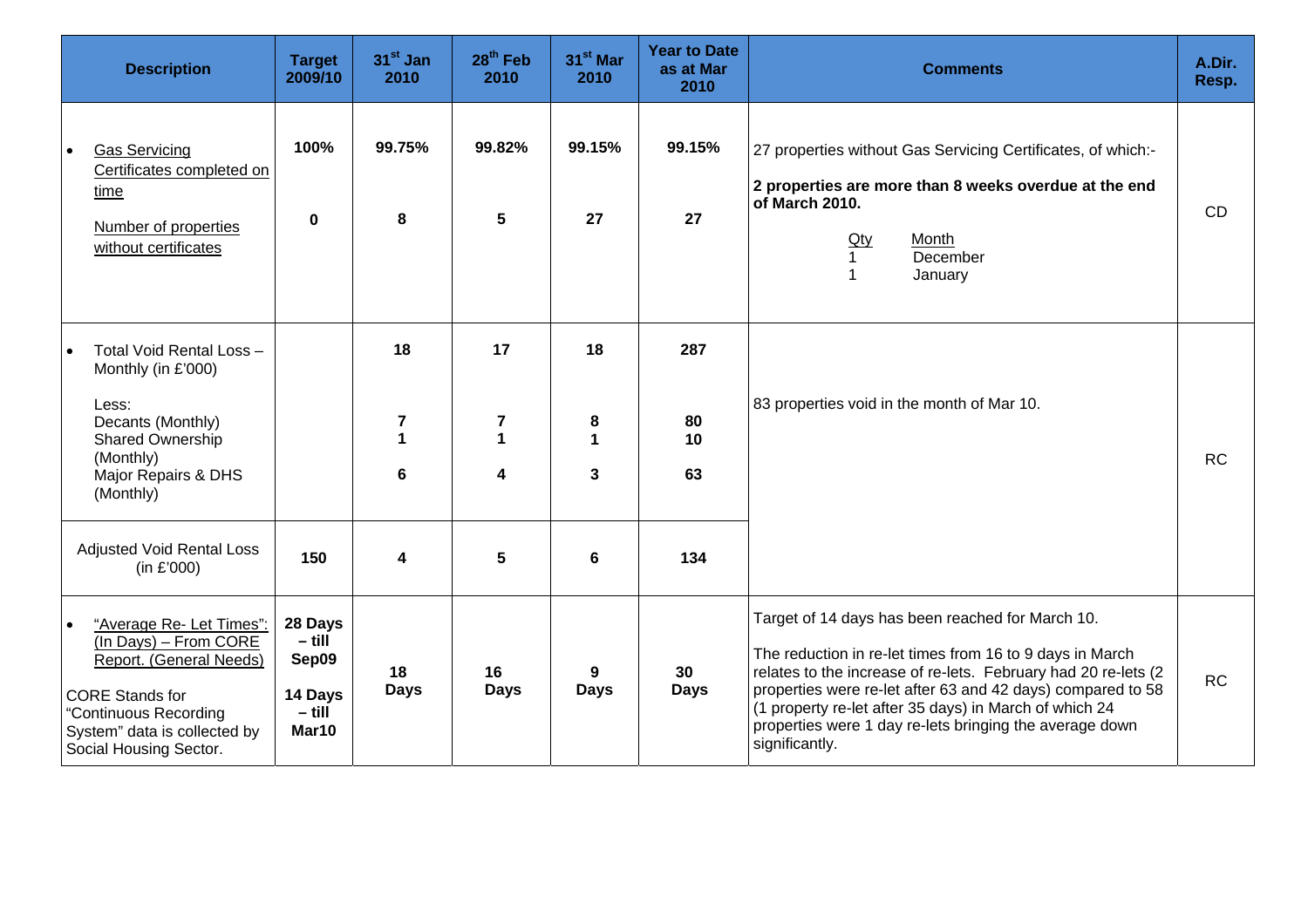| <b>Description</b>                                                                                                                                                                                      | <b>Target</b><br>2009/10                                     | $31st$ Jan<br>2010                                                                          | 28 <sup>th</sup> Feb<br>2010                            | 31 <sup>st</sup> Mar<br>2010                    | <b>Year to Date</b><br>as at Mar<br>2010 | <b>Comments</b>                                                                                                                                                                                                                                                                                                                                                                      | A.Dir.<br>Resp. |
|---------------------------------------------------------------------------------------------------------------------------------------------------------------------------------------------------------|--------------------------------------------------------------|---------------------------------------------------------------------------------------------|---------------------------------------------------------|-------------------------------------------------|------------------------------------------|--------------------------------------------------------------------------------------------------------------------------------------------------------------------------------------------------------------------------------------------------------------------------------------------------------------------------------------------------------------------------------------|-----------------|
| <b>Gas Servicing</b><br>Certificates completed on<br>time<br>Number of properties<br>without certificates                                                                                               | 100%<br>$\mathbf 0$                                          | 99.75%<br>8                                                                                 | 99.82%<br>5                                             | 99.15%<br>27                                    | 99.15%<br>27                             | 27 properties without Gas Servicing Certificates, of which:-<br>2 properties are more than 8 weeks overdue at the end<br>of March 2010.<br>Month<br><u>Qty</u><br>December<br>$\mathbf{1}$<br>$\mathbf{1}$<br>January                                                                                                                                                                | <b>CD</b>       |
| Total Void Rental Loss -<br>Monthly (in £'000)<br>Less:<br>Decants (Monthly)<br>Shared Ownership<br>(Monthly)<br>Major Repairs & DHS<br>(Monthly)<br><b>Adjusted Void Rental Loss</b>                   | 150                                                          | 18<br>$\overline{\mathbf{7}}$<br>$\mathbf{1}$<br>$6\phantom{1}6$<br>$\overline{\mathbf{4}}$ | 17<br>$\overline{\mathbf{7}}$<br>$\mathbf{1}$<br>4<br>5 | 18<br>8<br>1<br>$\mathbf{3}$<br>$6\phantom{1}6$ | 287<br>80<br>10<br>63<br>134             | 83 properties void in the month of Mar 10.                                                                                                                                                                                                                                                                                                                                           | <b>RC</b>       |
| (in £'000)<br>"Average Re- Let Times":<br>(In Days) - From CORE<br>Report. (General Needs)<br><b>CORE Stands for</b><br>"Continuous Recording<br>System" data is collected by<br>Social Housing Sector. | 28 Days<br>$-$ till<br>Sep09<br>14 Days<br>$-$ till<br>Mar10 | 18<br><b>Days</b>                                                                           | 16<br><b>Days</b>                                       | 9<br><b>Days</b>                                | 30<br><b>Days</b>                        | Target of 14 days has been reached for March 10.<br>The reduction in re-let times from 16 to 9 days in March<br>relates to the increase of re-lets. February had 20 re-lets (2<br>properties were re-let after 63 and 42 days) compared to 58<br>(1 property re-let after 35 days) in March of which 24<br>properties were 1 day re-lets bringing the average down<br>significantly. | <b>RC</b>       |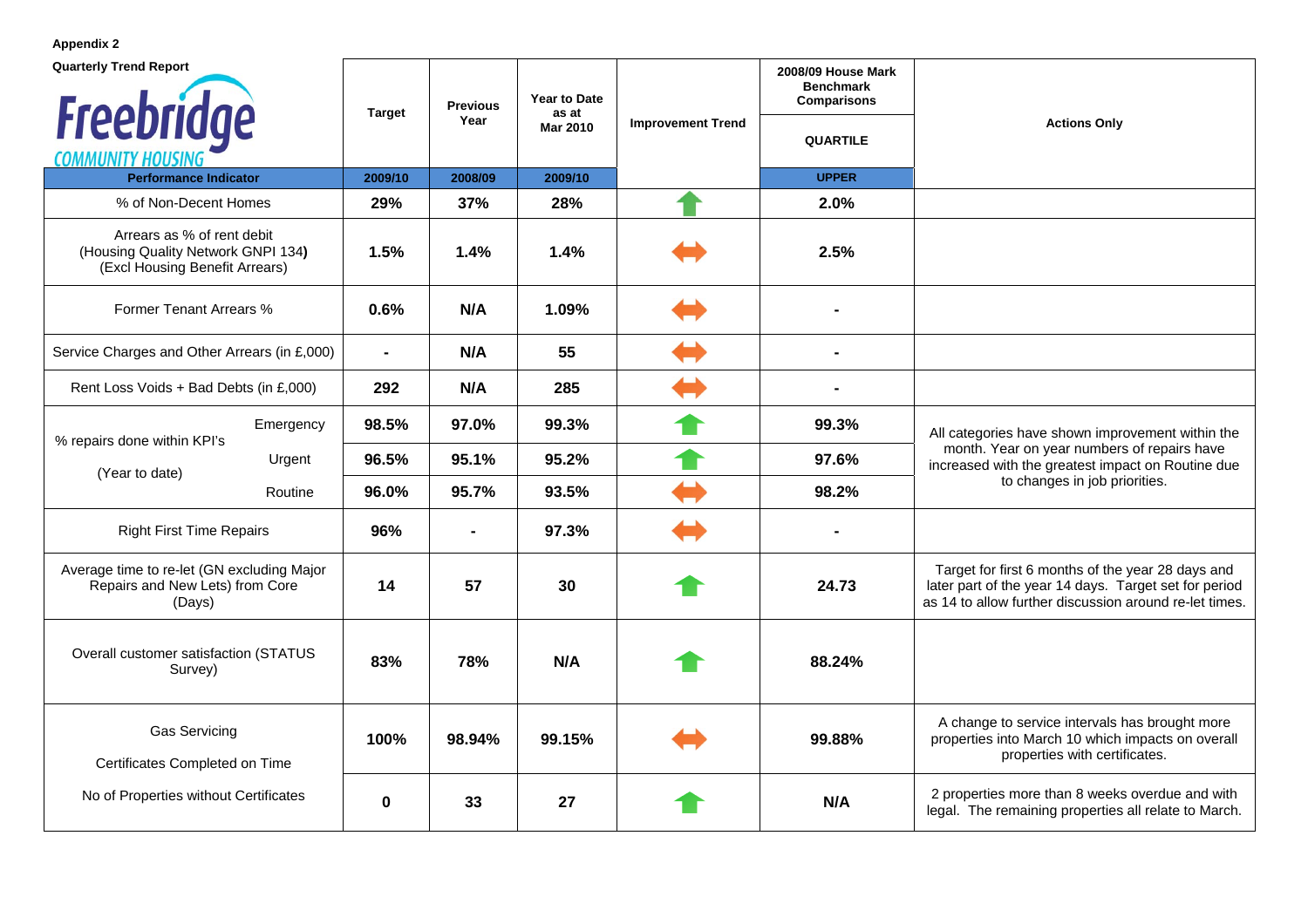**Appendix 2** 

| <b>Quarterly Trend Report</b>                                                                      | <b>Target</b>  | <b>Previous</b> | Year to Date<br>as at |                          | 2008/09 House Mark<br><b>Benchmark</b><br><b>Comparisons</b> |                                                                                                                                                                      |  |
|----------------------------------------------------------------------------------------------------|----------------|-----------------|-----------------------|--------------------------|--------------------------------------------------------------|----------------------------------------------------------------------------------------------------------------------------------------------------------------------|--|
| <b>Freebridge</b><br><b>COMMUNITY HOUS</b>                                                         |                | Year            | <b>Mar 2010</b>       | <b>Improvement Trend</b> | <b>QUARTILE</b>                                              | <b>Actions Only</b>                                                                                                                                                  |  |
| <b>Performance Indicator</b>                                                                       | 2009/10        | 2008/09         | 2009/10               |                          | <b>UPPER</b>                                                 |                                                                                                                                                                      |  |
| % of Non-Decent Homes                                                                              | 29%            | 37%             | 28%                   |                          | 2.0%                                                         |                                                                                                                                                                      |  |
| Arrears as % of rent debit<br>(Housing Quality Network GNPI 134)<br>(Excl Housing Benefit Arrears) | 1.5%           | 1.4%            | 1.4%                  |                          | 2.5%                                                         |                                                                                                                                                                      |  |
| Former Tenant Arrears %                                                                            | 0.6%           | N/A             | 1.09%                 |                          |                                                              |                                                                                                                                                                      |  |
| Service Charges and Other Arrears (in £,000)                                                       | $\blacksquare$ | N/A             | 55                    |                          | Ξ.                                                           |                                                                                                                                                                      |  |
| Rent Loss Voids + Bad Debts (in £,000)                                                             | 292            | N/A             | 285                   |                          |                                                              |                                                                                                                                                                      |  |
| Emergency<br>% repairs done within KPI's                                                           | 98.5%          | 97.0%           | 99.3%                 |                          | 99.3%                                                        | All categories have shown improvement within the                                                                                                                     |  |
| Urgent<br>(Year to date)                                                                           | 96.5%          | 95.1%           | 95.2%                 |                          | 97.6%                                                        | month. Year on year numbers of repairs have<br>increased with the greatest impact on Routine due                                                                     |  |
| Routine                                                                                            | 96.0%          | 95.7%           | 93.5%                 |                          | 98.2%                                                        | to changes in job priorities.                                                                                                                                        |  |
| <b>Right First Time Repairs</b>                                                                    | 96%            | $\blacksquare$  | 97.3%                 |                          |                                                              |                                                                                                                                                                      |  |
| Average time to re-let (GN excluding Major<br>Repairs and New Lets) from Core<br>(Days)            | 14             | 57              | 30                    |                          | 24.73                                                        | Target for first 6 months of the year 28 days and<br>later part of the year 14 days. Target set for period<br>as 14 to allow further discussion around re-let times. |  |
| Overall customer satisfaction (STATUS<br>Survey)                                                   | 83%            | 78%             | N/A                   |                          | 88.24%                                                       |                                                                                                                                                                      |  |
| <b>Gas Servicing</b><br>Certificates Completed on Time                                             | 100%           | 98.94%          | 99.15%                |                          | 99.88%                                                       | A change to service intervals has brought more<br>properties into March 10 which impacts on overall<br>properties with certificates.                                 |  |
| No of Properties without Certificates                                                              | 0              | 33              | 27                    |                          | N/A                                                          | 2 properties more than 8 weeks overdue and with<br>legal. The remaining properties all relate to March.                                                              |  |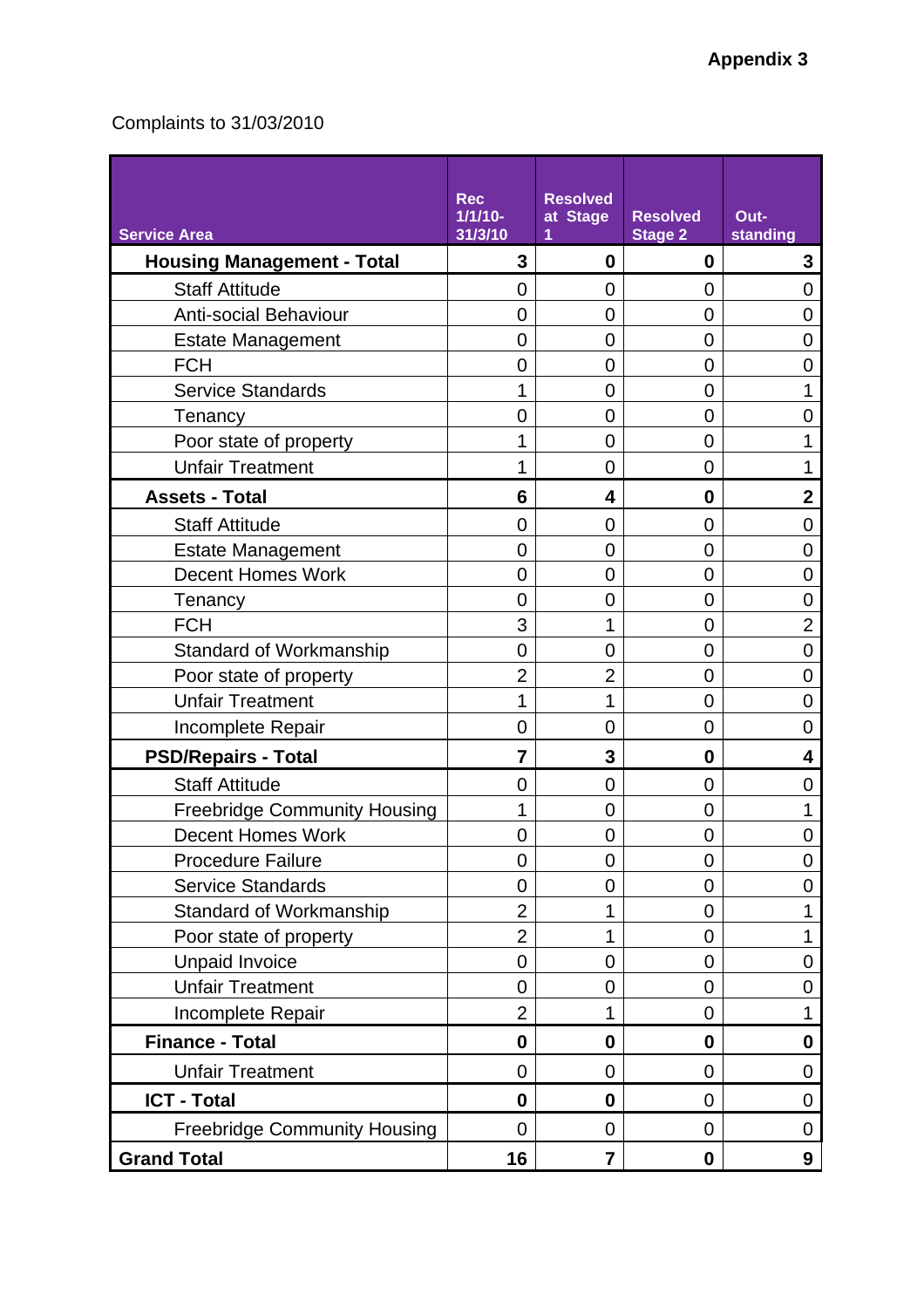## Complaints to 31/03/2010

| <b>Service Area</b>                 | <b>Rec</b><br>$1/1/10-$<br>31/3/10 | <b>Resolved</b><br>at Stage<br>1 | <b>Resolved</b><br><b>Stage 2</b> | Out-<br>standing |
|-------------------------------------|------------------------------------|----------------------------------|-----------------------------------|------------------|
| <b>Housing Management - Total</b>   | 3                                  | 0                                | 0                                 | 3                |
| <b>Staff Attitude</b>               | 0                                  | 0                                | 0                                 | 0                |
| <b>Anti-social Behaviour</b>        | 0                                  | $\overline{0}$                   | 0                                 | 0                |
| <b>Estate Management</b>            | 0                                  | 0                                | 0                                 | 0                |
| <b>FCH</b>                          | 0                                  | $\overline{0}$                   | 0                                 | 0                |
| <b>Service Standards</b>            | 1                                  | 0                                | 0                                 | 1                |
| Tenancy                             | 0                                  | $\overline{0}$                   | 0                                 | 0                |
| Poor state of property              |                                    | $\overline{0}$                   | 0                                 |                  |
| <b>Unfair Treatment</b>             | 1                                  | $\overline{0}$                   | 0                                 | 1                |
| <b>Assets - Total</b>               | 6                                  | 4                                | 0                                 | $\mathbf 2$      |
| <b>Staff Attitude</b>               | $\overline{0}$                     | $\overline{0}$                   | 0                                 | 0                |
| <b>Estate Management</b>            | 0                                  | 0                                | 0                                 | 0                |
| <b>Decent Homes Work</b>            | 0                                  | $\overline{0}$                   | 0                                 | 0                |
| Tenancy                             | 0                                  | 0                                | 0                                 | 0                |
| <b>FCH</b>                          | 3                                  | 1                                | 0                                 | $\overline{2}$   |
| <b>Standard of Workmanship</b>      | 0                                  | $\overline{0}$                   | 0                                 | 0                |
| Poor state of property              | $\overline{2}$                     | $\overline{2}$                   | 0                                 | 0                |
| <b>Unfair Treatment</b>             | 1                                  | 1                                | 0                                 | 0                |
| <b>Incomplete Repair</b>            | $\overline{0}$                     | 0                                | $\overline{0}$                    | 0                |
| <b>PSD/Repairs - Total</b>          | 7                                  | 3                                | 0                                 | 4                |
| <b>Staff Attitude</b>               | 0                                  | $\overline{0}$                   | 0                                 | 0                |
| <b>Freebridge Community Housing</b> | 1                                  | 0                                | 0                                 | 1                |
| <b>Decent Homes Work</b>            | 0                                  | $\overline{0}$                   | 0                                 | 0                |
| <b>Procedure Failure</b>            | 0                                  | 0                                | 0                                 | 0                |
| <b>Service Standards</b>            | 0                                  | $\overline{0}$                   | 0                                 | 0                |
| Standard of Workmanship             | $\overline{2}$                     | 1                                | 0                                 | 1                |
| Poor state of property              | $\overline{2}$                     | 1                                | 0                                 | 1                |
| <b>Unpaid Invoice</b>               | $\overline{0}$                     | $\overline{0}$                   | $\mathbf 0$                       | 0                |
| <b>Unfair Treatment</b>             | 0                                  | $\mathbf 0$                      | 0                                 | 0                |
| Incomplete Repair                   | $\overline{2}$                     | 1                                | 0                                 | 1                |
| <b>Finance - Total</b>              | $\mathbf 0$                        | $\boldsymbol{0}$                 | $\mathbf 0$                       | $\mathbf 0$      |
| <b>Unfair Treatment</b>             | 0                                  | $\mathbf 0$                      | 0                                 | 0                |
| <b>ICT - Total</b>                  | $\bf{0}$                           | $\bf{0}$                         | $\overline{0}$                    | 0                |
| <b>Freebridge Community Housing</b> | $\overline{0}$                     | $\mathbf 0$                      | 0                                 | 0                |
| <b>Grand Total</b>                  | 16                                 | $\overline{7}$                   | $\boldsymbol{0}$                  | 9                |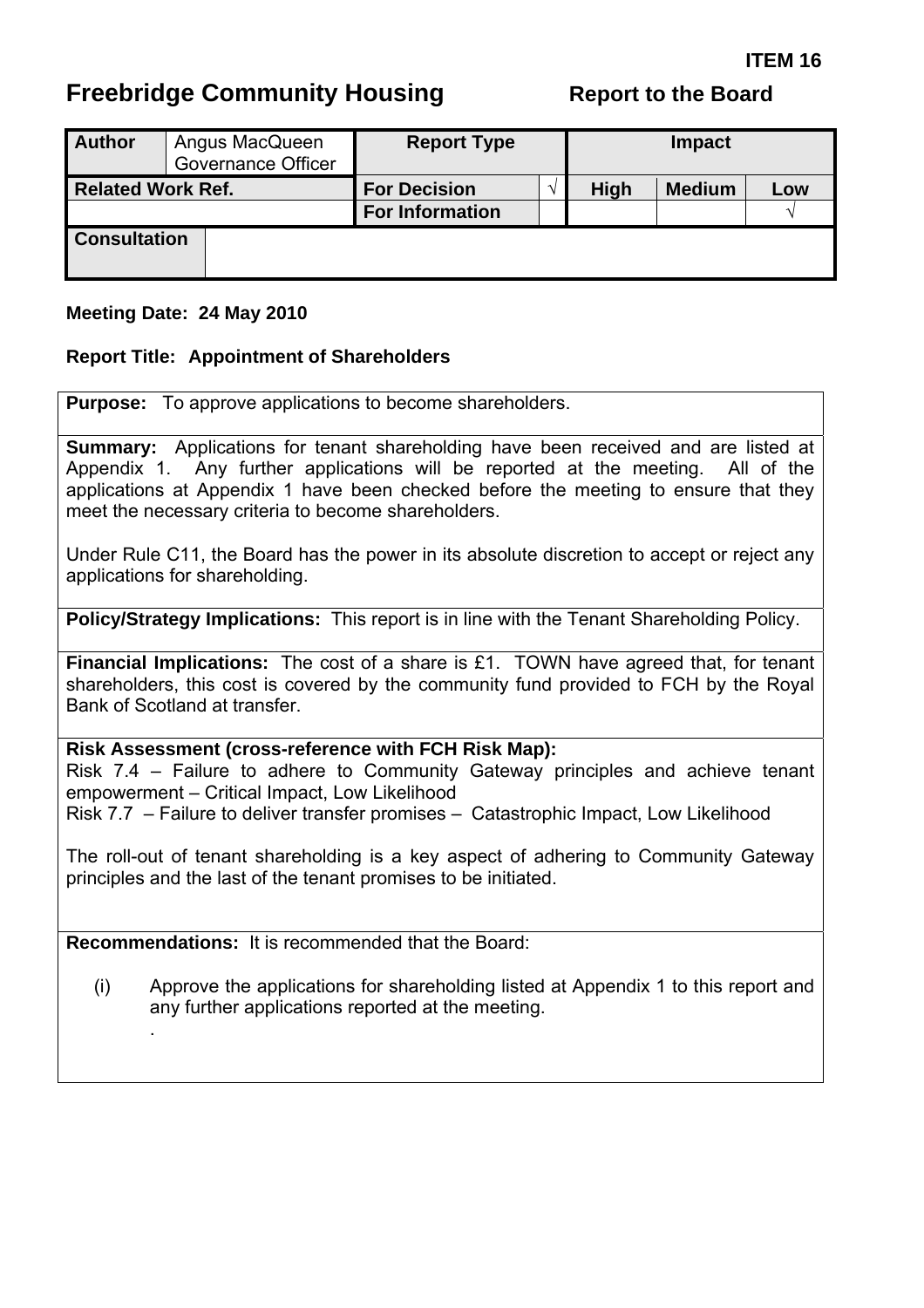# **Freebridge Community Housing**

|  |  |  | <b>Report to the Board</b> |
|--|--|--|----------------------------|
|--|--|--|----------------------------|

| <b>Author</b>            | Angus MacQueen<br><b>Governance Officer</b> | <b>Report Type</b>     |  | <b>Impact</b> |               |     |  |
|--------------------------|---------------------------------------------|------------------------|--|---------------|---------------|-----|--|
| <b>Related Work Ref.</b> |                                             | <b>For Decision</b>    |  | <b>High</b>   | <b>Medium</b> | Low |  |
|                          |                                             | <b>For Information</b> |  |               |               |     |  |
| <b>Consultation</b>      |                                             |                        |  |               |               |     |  |

#### **Meeting Date: 24 May 2010**

#### **Report Title: Appointment of Shareholders**

**Purpose:** To approve applications to become shareholders.

**Summary:** Applications for tenant shareholding have been received and are listed at Appendix 1. Any further applications will be reported at the meeting. All of the applications at Appendix 1 have been checked before the meeting to ensure that they meet the necessary criteria to become shareholders.

Under Rule C11, the Board has the power in its absolute discretion to accept or reject any applications for shareholding.

**Policy/Strategy Implications:** This report is in line with the Tenant Shareholding Policy.

**Financial Implications:** The cost of a share is £1. TOWN have agreed that, for tenant shareholders, this cost is covered by the community fund provided to FCH by the Royal Bank of Scotland at transfer.

#### **Risk Assessment (cross-reference with FCH Risk Map):**

Risk 7.4 – Failure to adhere to Community Gateway principles and achieve tenant empowerment – Critical Impact, Low Likelihood Risk 7.7 – Failure to deliver transfer promises – Catastrophic Impact, Low Likelihood

The roll-out of tenant shareholding is a key aspect of adhering to Community Gateway principles and the last of the tenant promises to be initiated.

**Recommendations:** It is recommended that the Board:

.

(i) Approve the applications for shareholding listed at Appendix 1 to this report and any further applications reported at the meeting.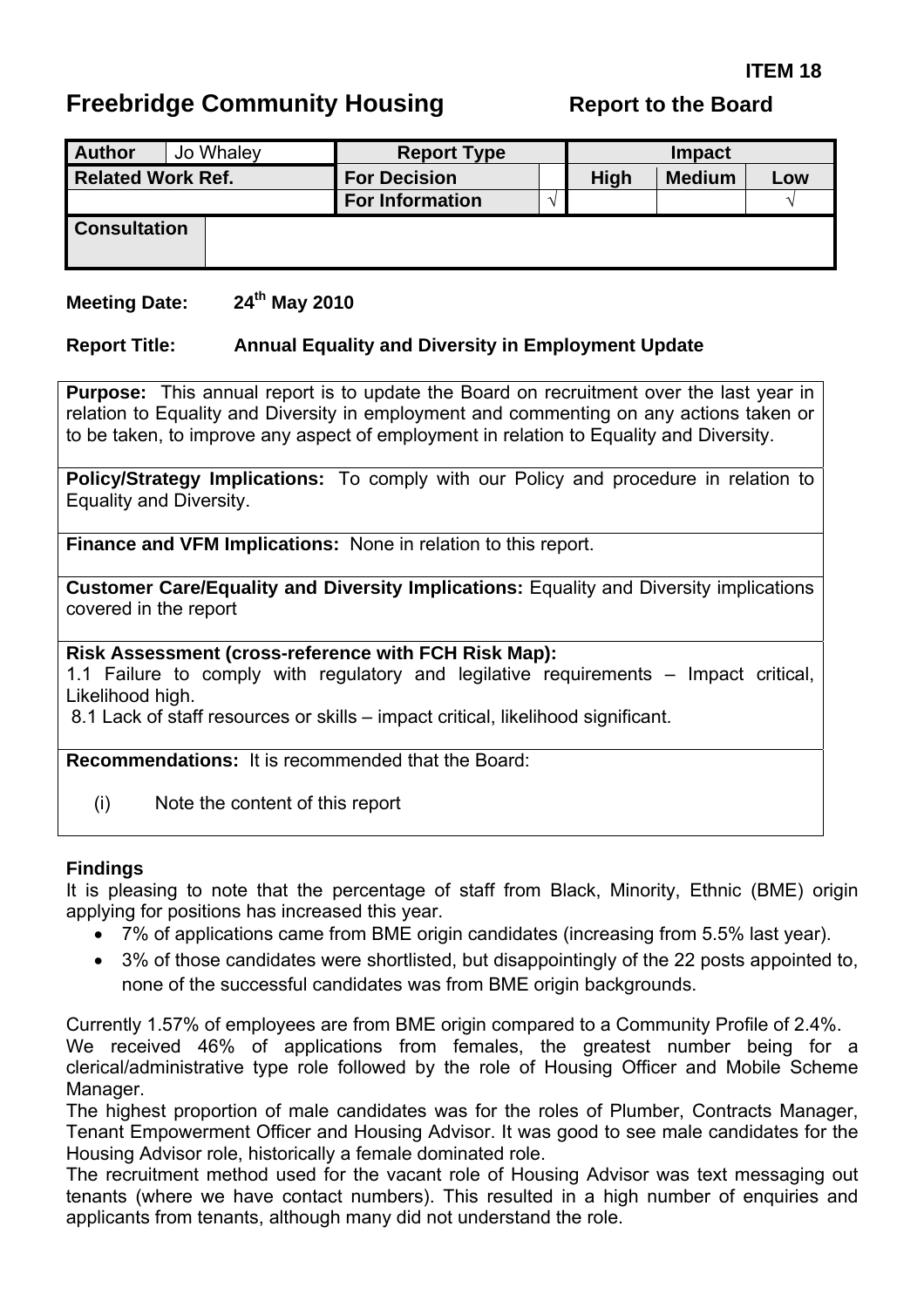# <span id="page-35-0"></span>**Freebridge Community Housing The Report to the Board**

| Jo Whaley<br><b>Author</b> | <b>Report Type</b>     |  | <b>Impact</b> |               |     |  |
|----------------------------|------------------------|--|---------------|---------------|-----|--|
| <b>Related Work Ref.</b>   | <b>For Decision</b>    |  | <b>High</b>   | <b>Medium</b> | Low |  |
|                            | <b>For Information</b> |  |               |               |     |  |
| <b>Consultation</b>        |                        |  |               |               |     |  |

#### **Meeting Date: 24th May 2010**

#### **Report Title: Annual Equality and Diversity in Employment Update**

**Purpose:** This annual report is to update the Board on recruitment over the last year in relation to Equality and Diversity in employment and commenting on any actions taken or to be taken, to improve any aspect of employment in relation to Equality and Diversity.

**Policy/Strategy Implications:** To comply with our Policy and procedure in relation to Equality and Diversity.

**Finance and VFM Implications:** None in relation to this report.

**Customer Care/Equality and Diversity Implications:** Equality and Diversity implications covered in the report

**Risk Assessment (cross-reference with FCH Risk Map):** 

1.1 Failure to comply with regulatory and legilative requirements – Impact critical, Likelihood high.

8.1 Lack of staff resources or skills – impact critical, likelihood significant.

**Recommendations:** It is recommended that the Board:

(i) Note the content of this report

#### **Findings**

It is pleasing to note that the percentage of staff from Black, Minority, Ethnic (BME) origin applying for positions has increased this year.

- 7% of applications came from BME origin candidates (increasing from 5.5% last year).
- 3% of those candidates were shortlisted, but disappointingly of the 22 posts appointed to, none of the successful candidates was from BME origin backgrounds.

Currently 1.57% of employees are from BME origin compared to a Community Profile of 2.4%. We received 46% of applications from females, the greatest number being for a clerical/administrative type role followed by the role of Housing Officer and Mobile Scheme Manager.

The highest proportion of male candidates was for the roles of Plumber, Contracts Manager, Tenant Empowerment Officer and Housing Advisor. It was good to see male candidates for the Housing Advisor role, historically a female dominated role.

The recruitment method used for the vacant role of Housing Advisor was text messaging out tenants (where we have contact numbers). This resulted in a high number of enquiries and applicants from tenants, although many did not understand the role.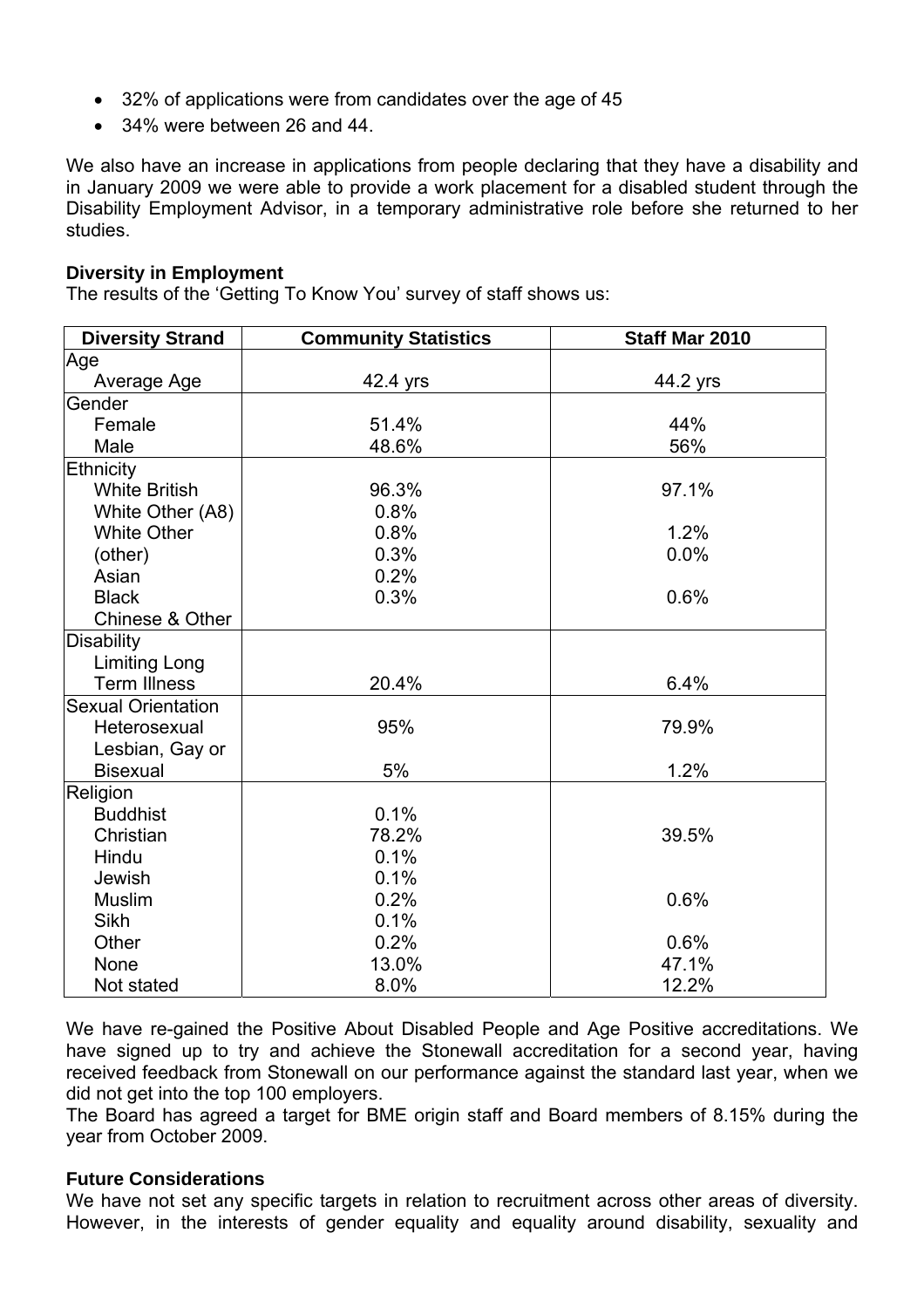- 32% of applications were from candidates over the age of 45
- 34% were between 26 and 44.

We also have an increase in applications from people declaring that they have a disability and in January 2009 we were able to provide a work placement for a disabled student through the Disability Employment Advisor, in a temporary administrative role before she returned to her studies.

#### **Diversity in Employment**

The results of the 'Getting To Know You' survey of staff shows us:

| <b>Diversity Strand</b>   | <b>Community Statistics</b> | Staff Mar 2010 |
|---------------------------|-----------------------------|----------------|
| Age                       |                             |                |
| Average Age               | 42.4 yrs                    | 44.2 yrs       |
| Gender                    |                             |                |
| Female                    | 51.4%                       | 44%            |
| Male                      | 48.6%                       | 56%            |
| Ethnicity                 |                             |                |
| <b>White British</b>      | 96.3%                       | 97.1%          |
| White Other (A8)          | 0.8%                        |                |
| <b>White Other</b>        | 0.8%                        | 1.2%           |
| (other)                   | 0.3%                        | 0.0%           |
| Asian                     | 0.2%                        |                |
| <b>Black</b>              | 0.3%                        | 0.6%           |
| Chinese & Other           |                             |                |
| Disability                |                             |                |
| <b>Limiting Long</b>      |                             |                |
| <b>Term Illness</b>       | 20.4%                       | 6.4%           |
| <b>Sexual Orientation</b> |                             |                |
| Heterosexual              | 95%                         | 79.9%          |
| Lesbian, Gay or           |                             |                |
| <b>Bisexual</b>           | 5%                          | 1.2%           |
| Religion                  |                             |                |
| <b>Buddhist</b>           | 0.1%                        |                |
| Christian                 | 78.2%                       | 39.5%          |
| Hindu                     | 0.1%                        |                |
| Jewish                    | 0.1%                        |                |
| <b>Muslim</b>             | 0.2%                        | 0.6%           |
| <b>Sikh</b>               | 0.1%                        |                |
| Other                     | 0.2%                        | 0.6%           |
| None                      | 13.0%                       | 47.1%          |
| Not stated                | 8.0%                        | 12.2%          |

We have re-gained the Positive About Disabled People and Age Positive accreditations. We have signed up to try and achieve the Stonewall accreditation for a second year, having received feedback from Stonewall on our performance against the standard last year, when we did not get into the top 100 employers.

The Board has agreed a target for BME origin staff and Board members of 8.15% during the year from October 2009.

#### **Future Considerations**

We have not set any specific targets in relation to recruitment across other areas of diversity. However, in the interests of gender equality and equality around disability, sexuality and